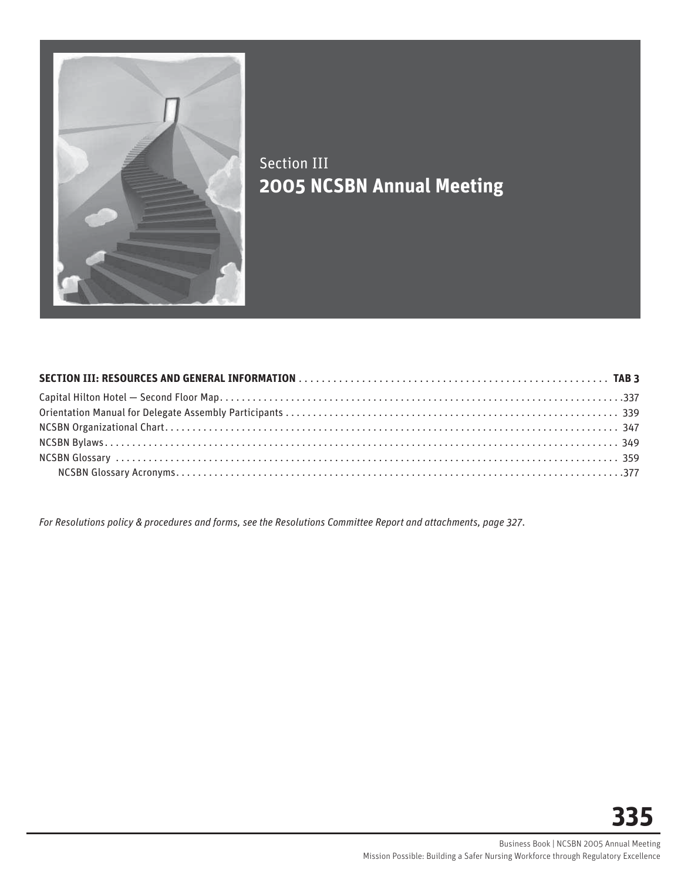

# Section III **2005 NCSBN Annual Meeting**

*For Resolutions policy & procedures and forms, see the Resolutions Committee Report and attachments, page 327*.

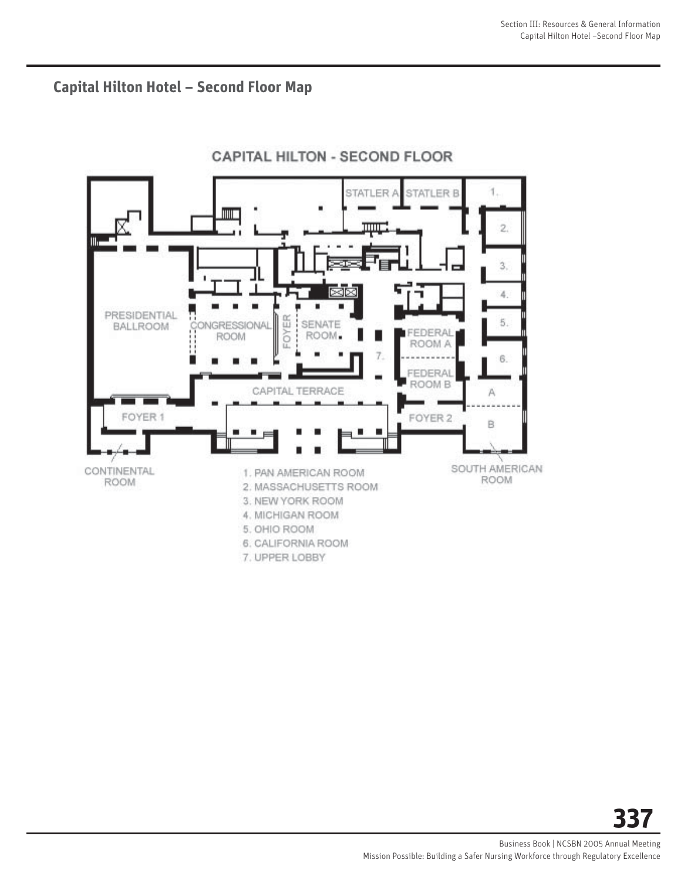**Capital Hilton Hotel – Second Floor Map**



## **CAPITAL HILTON - SECOND FLOOR**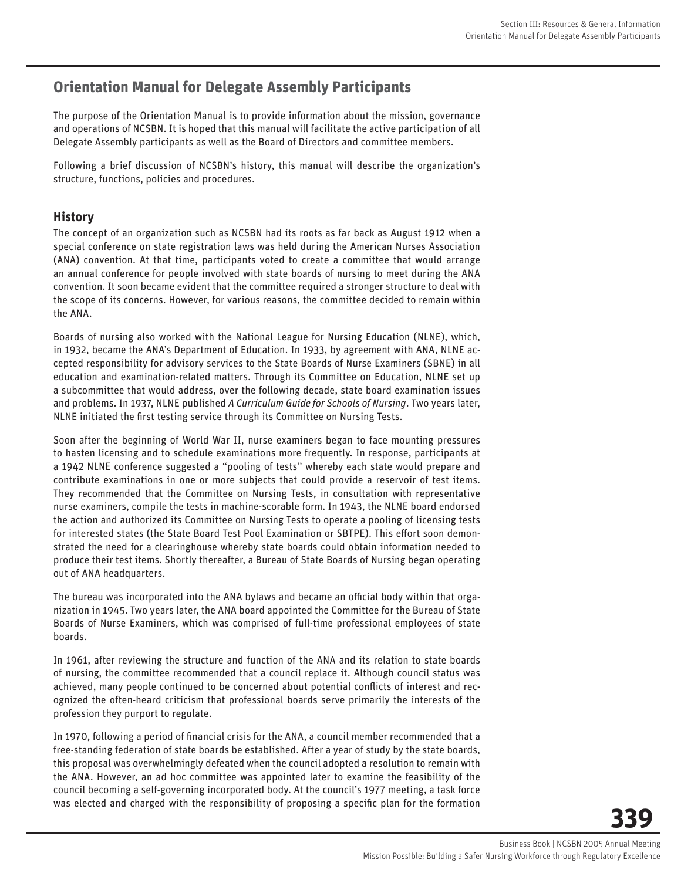# **Orientation Manual for Delegate Assembly Participants**

The purpose of the Orientation Manual is to provide information about the mission, governance and operations of NCSBN. It is hoped that this manual will facilitate the active participation of all Delegate Assembly participants as well as the Board of Directors and committee members.

Following a brief discussion of NCSBN's history, this manual will describe the organization's structure, functions, policies and procedures.

## **History**

The concept of an organization such as NCSBN had its roots as far back as August 1912 when a special conference on state registration laws was held during the American Nurses Association (ANA) convention. At that time, participants voted to create a committee that would arrange an annual conference for people involved with state boards of nursing to meet during the ANA convention. It soon became evident that the committee required a stronger structure to deal with the scope of its concerns. However, for various reasons, the committee decided to remain within the ANA.

Boards of nursing also worked with the National League for Nursing Education (NLNE), which, in 1932, became the ANA's Department of Education. In 1933, by agreement with ANA, NLNE accepted responsibility for advisory services to the State Boards of Nurse Examiners (SBNE) in all education and examination-related matters. Through its Committee on Education, NLNE set up a subcommittee that would address, over the following decade, state board examination issues and problems. In 1937, NLNE published *A Curriculum Guide for Schools of Nursing*. Two years later, NLNE initiated the first testing service through its Committee on Nursing Tests.

Soon after the beginning of World War II, nurse examiners began to face mounting pressures to hasten licensing and to schedule examinations more frequently. In response, participants at a 1942 NLNE conference suggested a "pooling of tests" whereby each state would prepare and contribute examinations in one or more subjects that could provide a reservoir of test items. They recommended that the Committee on Nursing Tests, in consultation with representative nurse examiners, compile the tests in machine-scorable form. In 1943, the NLNE board endorsed the action and authorized its Committee on Nursing Tests to operate a pooling of licensing tests for interested states (the State Board Test Pool Examination or SBTPE). This effort soon demonstrated the need for a clearinghouse whereby state boards could obtain information needed to produce their test items. Shortly thereafter, a Bureau of State Boards of Nursing began operating out of ANA headquarters.

The bureau was incorporated into the ANA bylaws and became an official body within that organization in 1945. Two years later, the ANA board appointed the Committee for the Bureau of State Boards of Nurse Examiners, which was comprised of full-time professional employees of state boards.

In 1961, after reviewing the structure and function of the ANA and its relation to state boards of nursing, the committee recommended that a council replace it. Although council status was achieved, many people continued to be concerned about potential conflicts of interest and recognized the often-heard criticism that professional boards serve primarily the interests of the profession they purport to regulate.

In 1970, following a period of financial crisis for the ANA, a council member recommended that a free-standing federation of state boards be established. After a year of study by the state boards, this proposal was overwhelmingly defeated when the council adopted a resolution to remain with the ANA. However, an ad hoc committee was appointed later to examine the feasibility of the council becoming a self-governing incorporated body. At the council's 1977 meeting, a task force was elected and charged with the responsibility of proposing a specific plan for the formation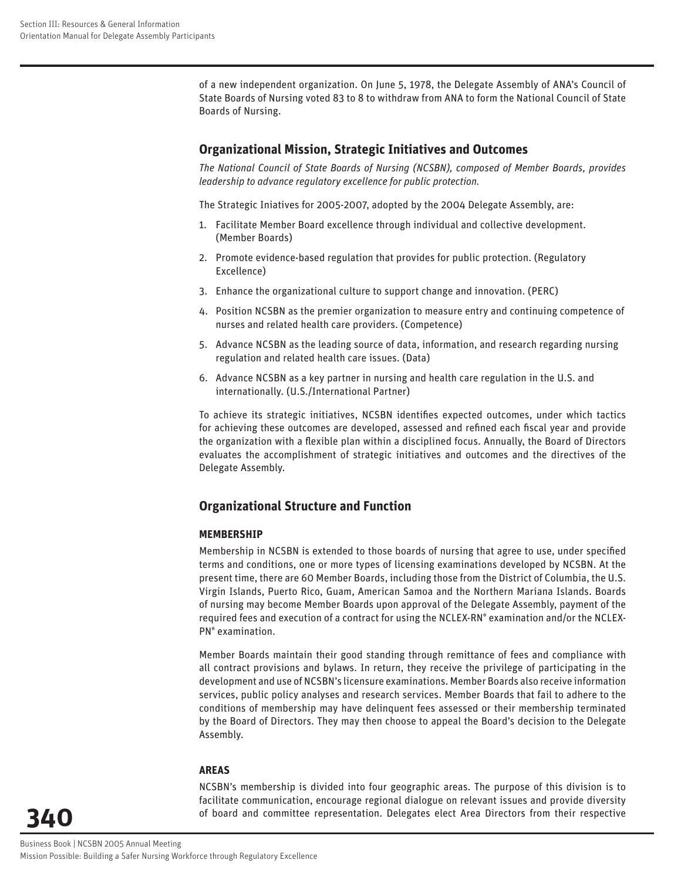of a new independent organization. On June 5, 1978, the Delegate Assembly of ANA's Council of State Boards of Nursing voted 83 to 8 to withdraw from ANA to form the National Council of State Boards of Nursing.

## **Organizational Mission, Strategic Initiatives and Outcomes**

*The National Council of State Boards of Nursing (NCSBN), composed of Member Boards, provides leadership to advance regulatory excellence for public protection.*

The Strategic Iniatives for 2005-2007, adopted by the 2004 Delegate Assembly, are:

- 1. Facilitate Member Board excellence through individual and collective development. (Member Boards)
- 2. Promote evidence-based regulation that provides for public protection. (Regulatory Excellence)
- 3. Enhance the organizational culture to support change and innovation. (PERC)
- 4. Position NCSBN as the premier organization to measure entry and continuing competence of nurses and related health care providers. (Competence)
- 5. Advance NCSBN as the leading source of data, information, and research regarding nursing regulation and related health care issues. (Data)
- 6. Advance NCSBN as a key partner in nursing and health care regulation in the U.S. and internationally. (U.S./International Partner)

To achieve its strategic initiatives, NCSBN identifies expected outcomes, under which tactics for achieving these outcomes are developed, assessed and refined each fiscal year and provide the organization with a flexible plan within a disciplined focus. Annually, the Board of Directors evaluates the accomplishment of strategic initiatives and outcomes and the directives of the Delegate Assembly.

## **Organizational Structure and Function**

#### **MEMBERSHIP**

Membership in NCSBN is extended to those boards of nursing that agree to use, under specified terms and conditions, one or more types of licensing examinations developed by NCSBN. At the present time, there are 60 Member Boards, including those from the District of Columbia, the U.S. Virgin Islands, Puerto Rico, Guam, American Samoa and the Northern Mariana Islands. Boards of nursing may become Member Boards upon approval of the Delegate Assembly, payment of the required fees and execution of a contract for using the NCLEX-RN® examination and/or the NCLEX-PN® examination.

Member Boards maintain their good standing through remittance of fees and compliance with all contract provisions and bylaws. In return, they receive the privilege of participating in the development and use of NCSBN's licensure examinations. Member Boards also receive information services, public policy analyses and research services. Member Boards that fail to adhere to the conditions of membership may have delinquent fees assessed or their membership terminated by the Board of Directors. They may then choose to appeal the Board's decision to the Delegate Assembly.

#### **AREAS**

NCSBN's membership is divided into four geographic areas. The purpose of this division is to facilitate communication, encourage regional dialogue on relevant issues and provide diversity of board and committee representation. Delegates elect Area Directors from their respective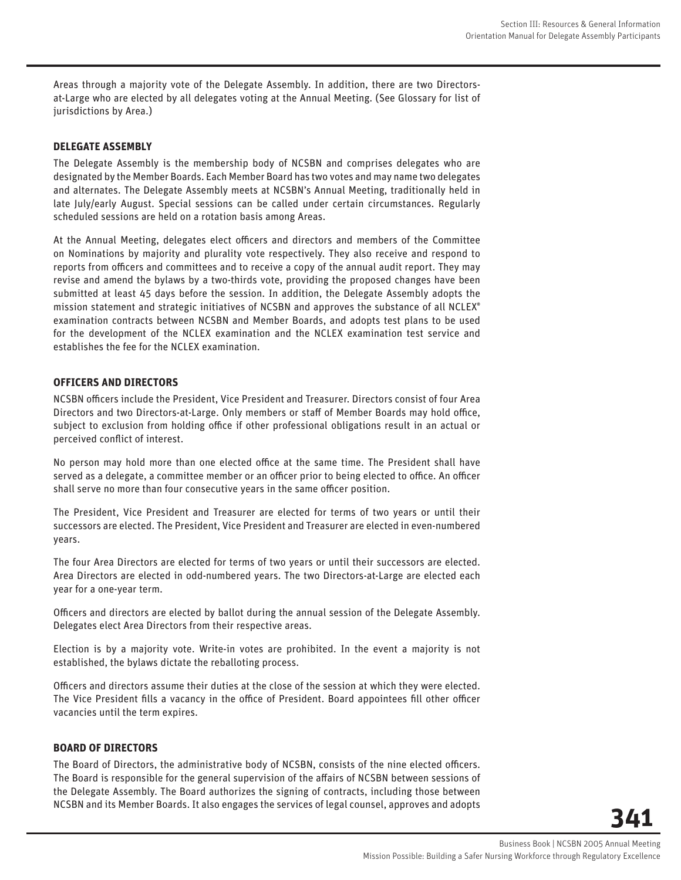Areas through a majority vote of the Delegate Assembly. In addition, there are two Directorsat-Large who are elected by all delegates voting at the Annual Meeting. (See Glossary for list of jurisdictions by Area.)

#### **DELEGATE ASSEMBLY**

The Delegate Assembly is the membership body of NCSBN and comprises delegates who are designated by the Member Boards. Each Member Board has two votes and may name two delegates and alternates. The Delegate Assembly meets at NCSBN's Annual Meeting, traditionally held in late July/early August. Special sessions can be called under certain circumstances. Regularly scheduled sessions are held on a rotation basis among Areas.

At the Annual Meeting, delegates elect officers and directors and members of the Committee on Nominations by majority and plurality vote respectively. They also receive and respond to reports from officers and committees and to receive a copy of the annual audit report. They may revise and amend the bylaws by a two-thirds vote, providing the proposed changes have been submitted at least 45 days before the session. In addition, the Delegate Assembly adopts the mission statement and strategic initiatives of NCSBN and approves the substance of all NCLEX® examination contracts between NCSBN and Member Boards, and adopts test plans to be used for the development of the NCLEX examination and the NCLEX examination test service and establishes the fee for the NCLEX examination.

#### **OFFICERS AND DIRECTORS**

NCSBN officers include the President, Vice President and Treasurer. Directors consist of four Area Directors and two Directors-at-Large. Only members or staff of Member Boards may hold office, subject to exclusion from holding office if other professional obligations result in an actual or perceived conflict of interest.

No person may hold more than one elected office at the same time. The President shall have served as a delegate, a committee member or an officer prior to being elected to office. An officer shall serve no more than four consecutive years in the same officer position.

The President, Vice President and Treasurer are elected for terms of two years or until their successors are elected. The President, Vice President and Treasurer are elected in even-numbered years.

The four Area Directors are elected for terms of two years or until their successors are elected. Area Directors are elected in odd-numbered years. The two Directors-at-Large are elected each year for a one-year term.

Officers and directors are elected by ballot during the annual session of the Delegate Assembly. Delegates elect Area Directors from their respective areas.

Election is by a majority vote. Write-in votes are prohibited. In the event a majority is not established, the bylaws dictate the reballoting process.

Officers and directors assume their duties at the close of the session at which they were elected. The Vice President fills a vacancy in the office of President. Board appointees fill other officer vacancies until the term expires.

#### **BOARD OF DIRECTORS**

The Board of Directors, the administrative body of NCSBN, consists of the nine elected officers. The Board is responsible for the general supervision of the affairs of NCSBN between sessions of the Delegate Assembly. The Board authorizes the signing of contracts, including those between NCSBN and its Member Boards. It also engages the services of legal counsel, approves and adopts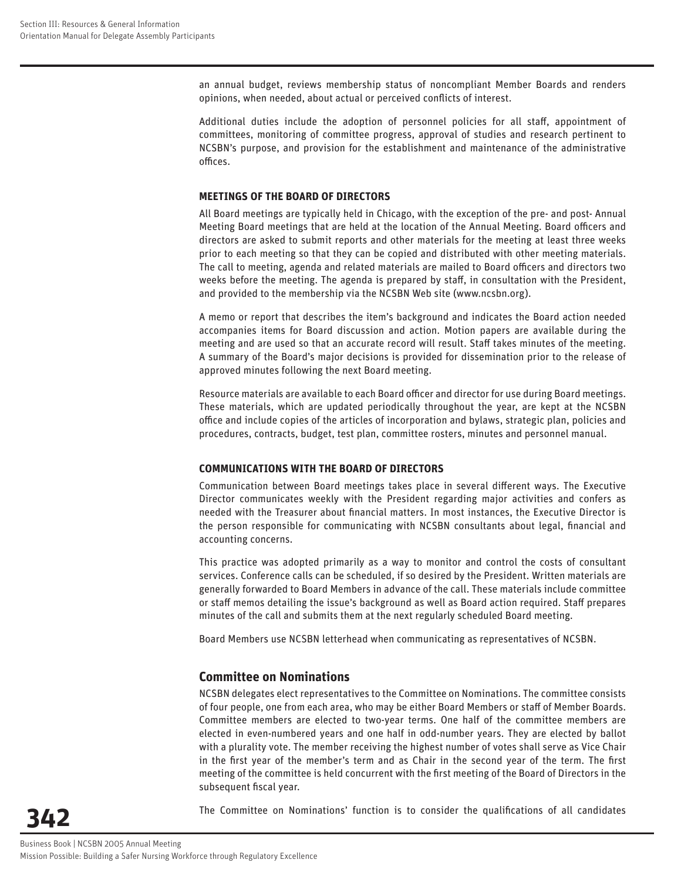an annual budget, reviews membership status of noncompliant Member Boards and renders opinions, when needed, about actual or perceived conflicts of interest.

Additional duties include the adoption of personnel policies for all staff, appointment of committees, monitoring of committee progress, approval of studies and research pertinent to NCSBN's purpose, and provision for the establishment and maintenance of the administrative offices.

#### **MEETINGS OF THE BOARD OF DIRECTORS**

All Board meetings are typically held in Chicago, with the exception of the pre- and post- Annual Meeting Board meetings that are held at the location of the Annual Meeting. Board officers and directors are asked to submit reports and other materials for the meeting at least three weeks prior to each meeting so that they can be copied and distributed with other meeting materials. The call to meeting, agenda and related materials are mailed to Board officers and directors two weeks before the meeting. The agenda is prepared by staff, in consultation with the President, and provided to the membership via the NCSBN Web site (www.ncsbn.org).

A memo or report that describes the item's background and indicates the Board action needed accompanies items for Board discussion and action. Motion papers are available during the meeting and are used so that an accurate record will result. Staff takes minutes of the meeting. A summary of the Board's major decisions is provided for dissemination prior to the release of approved minutes following the next Board meeting.

Resource materials are available to each Board officer and director for use during Board meetings. These materials, which are updated periodically throughout the year, are kept at the NCSBN office and include copies of the articles of incorporation and bylaws, strategic plan, policies and procedures, contracts, budget, test plan, committee rosters, minutes and personnel manual.

#### **COMMUNICATIONS WITH THE BOARD OF DIRECTORS**

Communication between Board meetings takes place in several different ways. The Executive Director communicates weekly with the President regarding major activities and confers as needed with the Treasurer about financial matters. In most instances, the Executive Director is the person responsible for communicating with NCSBN consultants about legal, financial and accounting concerns.

This practice was adopted primarily as a way to monitor and control the costs of consultant services. Conference calls can be scheduled, if so desired by the President. Written materials are generally forwarded to Board Members in advance of the call. These materials include committee or staff memos detailing the issue's background as well as Board action required. Staff prepares minutes of the call and submits them at the next regularly scheduled Board meeting.

Board Members use NCSBN letterhead when communicating as representatives of NCSBN.

## **Committee on Nominations**

NCSBN delegates elect representatives to the Committee on Nominations. The committee consists of four people, one from each area, who may be either Board Members or staff of Member Boards. Committee members are elected to two-year terms. One half of the committee members are elected in even-numbered years and one half in odd-number years. They are elected by ballot with a plurality vote. The member receiving the highest number of votes shall serve as Vice Chair in the first year of the member's term and as Chair in the second year of the term. The first meeting of the committee is held concurrent with the first meeting of the Board of Directors in the subsequent fiscal year.

The Committee on Nominations' function is to consider the qualifications of all candidates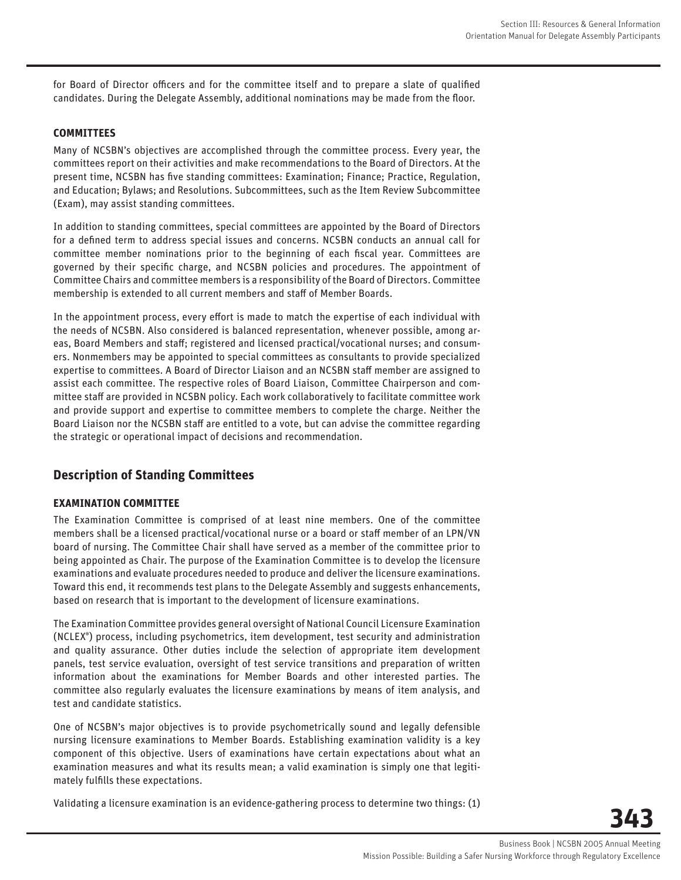for Board of Director officers and for the committee itself and to prepare a slate of qualified candidates. During the Delegate Assembly, additional nominations may be made from the floor.

#### **COMMITTEES**

Many of NCSBN's objectives are accomplished through the committee process. Every year, the committees report on their activities and make recommendations to the Board of Directors. At the present time, NCSBN has five standing committees: Examination; Finance; Practice, Regulation, and Education; Bylaws; and Resolutions. Subcommittees, such as the Item Review Subcommittee (Exam), may assist standing committees.

In addition to standing committees, special committees are appointed by the Board of Directors for a defined term to address special issues and concerns. NCSBN conducts an annual call for committee member nominations prior to the beginning of each fiscal year. Committees are governed by their specific charge, and NCSBN policies and procedures. The appointment of Committee Chairs and committee members is a responsibility of the Board of Directors. Committee membership is extended to all current members and staff of Member Boards.

In the appointment process, every effort is made to match the expertise of each individual with the needs of NCSBN. Also considered is balanced representation, whenever possible, among areas, Board Members and staff; registered and licensed practical/vocational nurses; and consumers. Nonmembers may be appointed to special committees as consultants to provide specialized expertise to committees. A Board of Director Liaison and an NCSBN staff member are assigned to assist each committee. The respective roles of Board Liaison, Committee Chairperson and committee staff are provided in NCSBN policy. Each work collaboratively to facilitate committee work and provide support and expertise to committee members to complete the charge. Neither the Board Liaison nor the NCSBN staff are entitled to a vote, but can advise the committee regarding the strategic or operational impact of decisions and recommendation.

## **Description of Standing Committees**

#### **EXAMINATION COMMITTEE**

The Examination Committee is comprised of at least nine members. One of the committee members shall be a licensed practical/vocational nurse or a board or staff member of an LPN/VN board of nursing. The Committee Chair shall have served as a member of the committee prior to being appointed as Chair. The purpose of the Examination Committee is to develop the licensure examinations and evaluate procedures needed to produce and deliver the licensure examinations. Toward this end, it recommends test plans to the Delegate Assembly and suggests enhancements, based on research that is important to the development of licensure examinations.

The Examination Committee provides general oversight of National Council Licensure Examination (NCLEX® ) process, including psychometrics, item development, test security and administration and quality assurance. Other duties include the selection of appropriate item development panels, test service evaluation, oversight of test service transitions and preparation of written information about the examinations for Member Boards and other interested parties. The committee also regularly evaluates the licensure examinations by means of item analysis, and test and candidate statistics.

One of NCSBN's major objectives is to provide psychometrically sound and legally defensible nursing licensure examinations to Member Boards. Establishing examination validity is a key component of this objective. Users of examinations have certain expectations about what an examination measures and what its results mean; a valid examination is simply one that legitimately fulfills these expectations.

Validating a licensure examination is an evidence-gathering process to determine two things: (1)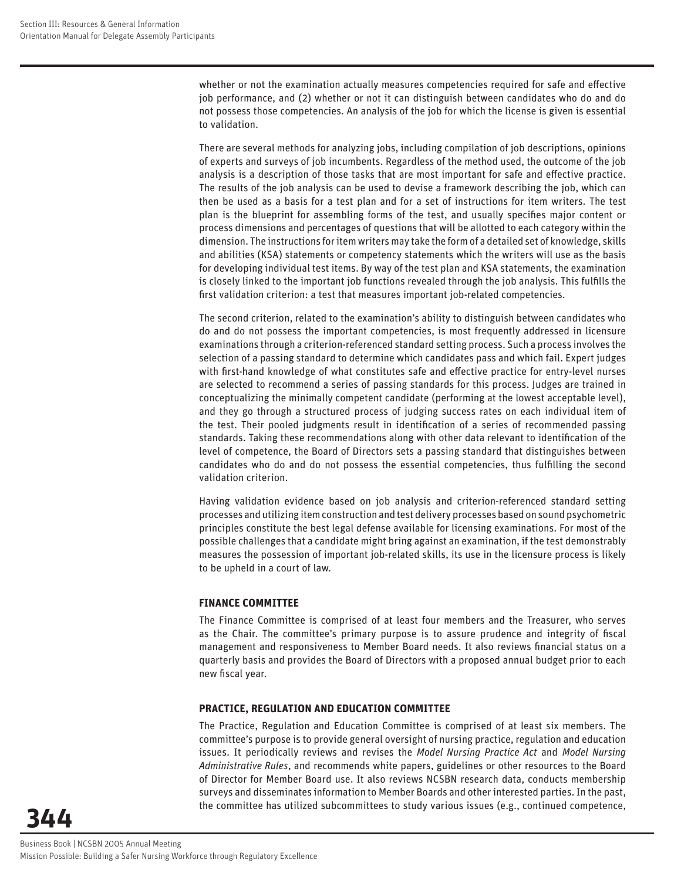whether or not the examination actually measures competencies required for safe and effective job performance, and (2) whether or not it can distinguish between candidates who do and do not possess those competencies. An analysis of the job for which the license is given is essential to validation.

There are several methods for analyzing jobs, including compilation of job descriptions, opinions of experts and surveys of job incumbents. Regardless of the method used, the outcome of the job analysis is a description of those tasks that are most important for safe and effective practice. The results of the job analysis can be used to devise a framework describing the job, which can then be used as a basis for a test plan and for a set of instructions for item writers. The test plan is the blueprint for assembling forms of the test, and usually specifies major content or process dimensions and percentages of questions that will be allotted to each category within the dimension. The instructions for item writers may take the form of a detailed set of knowledge, skills and abilities (KSA) statements or competency statements which the writers will use as the basis for developing individual test items. By way of the test plan and KSA statements, the examination is closely linked to the important job functions revealed through the job analysis. This fulfills the first validation criterion: a test that measures important job-related competencies.

The second criterion, related to the examination's ability to distinguish between candidates who do and do not possess the important competencies, is most frequently addressed in licensure examinations through a criterion-referenced standard setting process. Such a process involves the selection of a passing standard to determine which candidates pass and which fail. Expert judges with first-hand knowledge of what constitutes safe and effective practice for entry-level nurses are selected to recommend a series of passing standards for this process. Judges are trained in conceptualizing the minimally competent candidate (performing at the lowest acceptable level), and they go through a structured process of judging success rates on each individual item of the test. Their pooled judgments result in identification of a series of recommended passing standards. Taking these recommendations along with other data relevant to identification of the level of competence, the Board of Directors sets a passing standard that distinguishes between candidates who do and do not possess the essential competencies, thus fulfilling the second validation criterion.

Having validation evidence based on job analysis and criterion-referenced standard setting processes and utilizing item construction and test delivery processes based on sound psychometric principles constitute the best legal defense available for licensing examinations. For most of the possible challenges that a candidate might bring against an examination, if the test demonstrably measures the possession of important job-related skills, its use in the licensure process is likely to be upheld in a court of law.

#### **FINANCE COMMITTEE**

The Finance Committee is comprised of at least four members and the Treasurer, who serves as the Chair. The committee's primary purpose is to assure prudence and integrity of fiscal management and responsiveness to Member Board needs. It also reviews financial status on a quarterly basis and provides the Board of Directors with a proposed annual budget prior to each new fiscal year.

#### **PRACTICE, REGULATION AND EDUCATION COMMITTEE**

The Practice, Regulation and Education Committee is comprised of at least six members. The committee's purpose is to provide general oversight of nursing practice, regulation and education issues. It periodically reviews and revises the *Model Nursing Practice Act* and *Model Nursing Administrative Rules*, and recommends white papers, guidelines or other resources to the Board of Director for Member Board use. It also reviews NCSBN research data, conducts membership surveys and disseminates information to Member Boards and other interested parties. In the past, the committee has utilized subcommittees to study various issues (e.g., continued competence,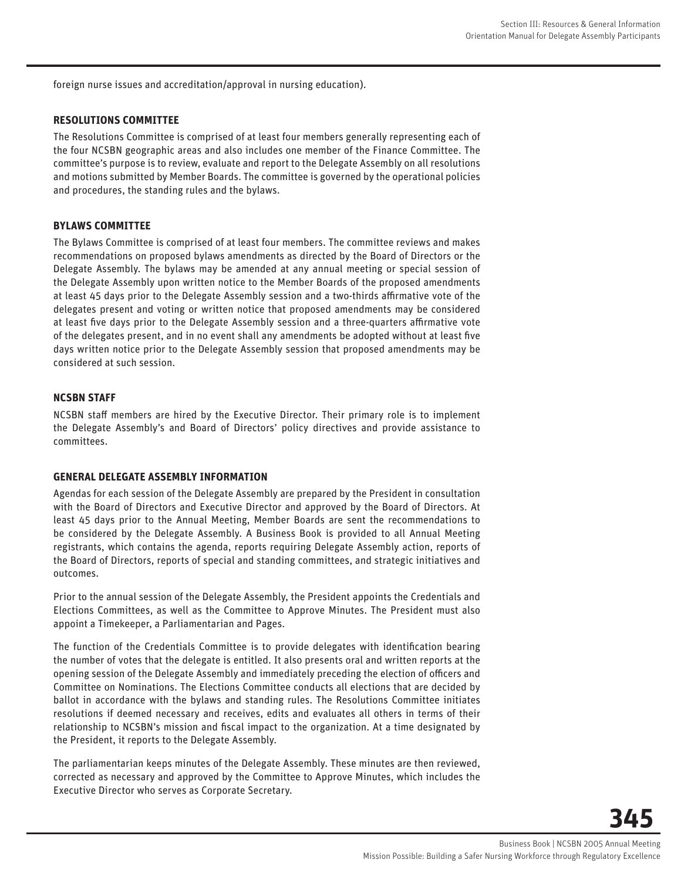foreign nurse issues and accreditation/approval in nursing education).

#### **RESOLUTIONS COMMITTEE**

The Resolutions Committee is comprised of at least four members generally representing each of the four NCSBN geographic areas and also includes one member of the Finance Committee. The committee's purpose is to review, evaluate and report to the Delegate Assembly on all resolutions and motions submitted by Member Boards. The committee is governed by the operational policies and procedures, the standing rules and the bylaws.

#### **BYLAWS COMMITTEE**

The Bylaws Committee is comprised of at least four members. The committee reviews and makes recommendations on proposed bylaws amendments as directed by the Board of Directors or the Delegate Assembly. The bylaws may be amended at any annual meeting or special session of the Delegate Assembly upon written notice to the Member Boards of the proposed amendments at least 45 days prior to the Delegate Assembly session and a two-thirds affirmative vote of the delegates present and voting or written notice that proposed amendments may be considered at least five days prior to the Delegate Assembly session and a three-quarters affirmative vote of the delegates present, and in no event shall any amendments be adopted without at least five days written notice prior to the Delegate Assembly session that proposed amendments may be considered at such session.

#### **NCSBN STAFF**

NCSBN staff members are hired by the Executive Director. Their primary role is to implement the Delegate Assembly's and Board of Directors' policy directives and provide assistance to committees.

#### **GENERAL DELEGATE ASSEMBLY INFORMATION**

Agendas for each session of the Delegate Assembly are prepared by the President in consultation with the Board of Directors and Executive Director and approved by the Board of Directors. At least 45 days prior to the Annual Meeting, Member Boards are sent the recommendations to be considered by the Delegate Assembly. A Business Book is provided to all Annual Meeting registrants, which contains the agenda, reports requiring Delegate Assembly action, reports of the Board of Directors, reports of special and standing committees, and strategic initiatives and outcomes.

Prior to the annual session of the Delegate Assembly, the President appoints the Credentials and Elections Committees, as well as the Committee to Approve Minutes. The President must also appoint a Timekeeper, a Parliamentarian and Pages.

The function of the Credentials Committee is to provide delegates with identification bearing the number of votes that the delegate is entitled. It also presents oral and written reports at the opening session of the Delegate Assembly and immediately preceding the election of officers and Committee on Nominations. The Elections Committee conducts all elections that are decided by ballot in accordance with the bylaws and standing rules. The Resolutions Committee initiates resolutions if deemed necessary and receives, edits and evaluates all others in terms of their relationship to NCSBN's mission and fiscal impact to the organization. At a time designated by the President, it reports to the Delegate Assembly.

The parliamentarian keeps minutes of the Delegate Assembly. These minutes are then reviewed, corrected as necessary and approved by the Committee to Approve Minutes, which includes the Executive Director who serves as Corporate Secretary.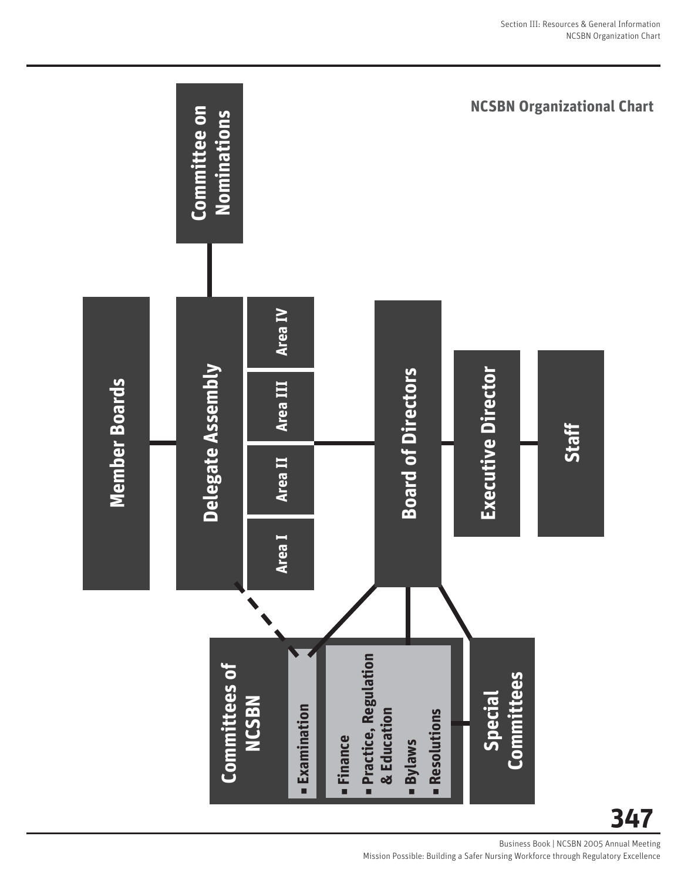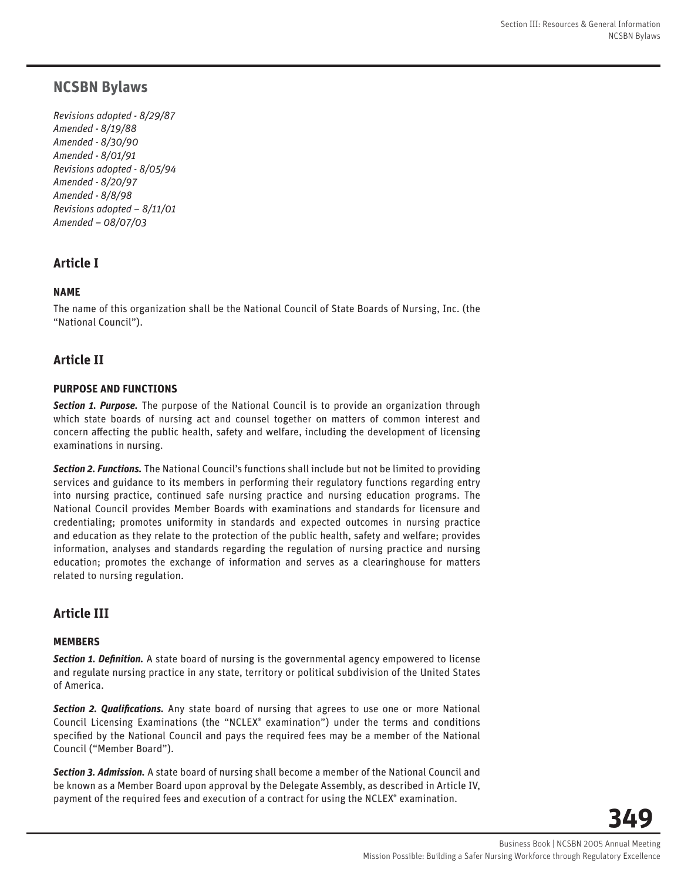## **NCSBN Bylaws**

*Revisions adopted - 8/29/87 Amended - 8/19/88 Amended - 8/30/90 Amended - 8/01/91 Revisions adopted - 8/05/94 Amended - 8/20/97 Amended - 8/8/98 Revisions adopted – 8/11/01 Amended – 08/07/03*

## **Article I**

## **NAME**

The name of this organization shall be the National Council of State Boards of Nursing, Inc. (the "National Council").

## **Article II**

#### **PURPOSE AND FUNCTIONS**

*Section 1. Purpose.* The purpose of the National Council is to provide an organization through which state boards of nursing act and counsel together on matters of common interest and concern affecting the public health, safety and welfare, including the development of licensing examinations in nursing.

*Section 2. Functions.* The National Council's functions shall include but not be limited to providing services and guidance to its members in performing their regulatory functions regarding entry into nursing practice, continued safe nursing practice and nursing education programs. The National Council provides Member Boards with examinations and standards for licensure and credentialing; promotes uniformity in standards and expected outcomes in nursing practice and education as they relate to the protection of the public health, safety and welfare; provides information, analyses and standards regarding the regulation of nursing practice and nursing education; promotes the exchange of information and serves as a clearinghouse for matters related to nursing regulation.

## **Article III**

#### **MEMBERS**

**Section 1. Definition.** A state board of nursing is the governmental agency empowered to license and regulate nursing practice in any state, territory or political subdivision of the United States of America.

**Section 2. Qualifications.** Any state board of nursing that agrees to use one or more National Council Licensing Examinations (the "NCLEX® examination") under the terms and conditions specified by the National Council and pays the required fees may be a member of the National Council ("Member Board").

*Section 3. Admission.* A state board of nursing shall become a member of the National Council and be known as a Member Board upon approval by the Delegate Assembly, as described in Article IV, payment of the required fees and execution of a contract for using the NCLEX® examination.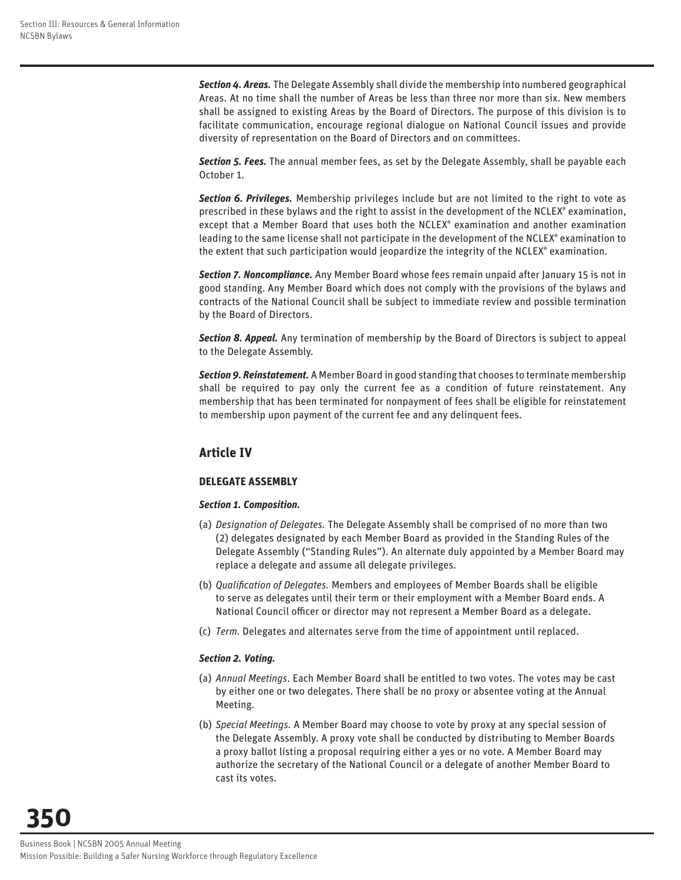*Section 4. Areas.* The Delegate Assembly shall divide the membership into numbered geographical Areas. At no time shall the number of Areas be less than three nor more than six. New members shall be assigned to existing Areas by the Board of Directors. The purpose of this division is to facilitate communication, encourage regional dialogue on National Council issues and provide diversity of representation on the Board of Directors and on committees.

*Section 5. Fees.* The annual member fees, as set by the Delegate Assembly, shall be payable each October 1.

*Section 6. Privileges.* Membership privileges include but are not limited to the right to vote as prescribed in these bylaws and the right to assist in the development of the NCLEX® examination, except that a Member Board that uses both the NCLEX® examination and another examination leading to the same license shall not participate in the development of the NCLEX® examination to the extent that such participation would jeopardize the integrity of the NCLEX® examination.

*Section 7. Noncompliance.* Any Member Board whose fees remain unpaid after January 15 is not in good standing. Any Member Board which does not comply with the provisions of the bylaws and contracts of the National Council shall be subject to immediate review and possible termination by the Board of Directors.

*Section 8. Appeal.* Any termination of membership by the Board of Directors is subject to appeal to the Delegate Assembly.

*Section 9. Reinstatement.* A Member Board in good standing that chooses to terminate membership shall be required to pay only the current fee as a condition of future reinstatement. Any membership that has been terminated for nonpayment of fees shall be eligible for reinstatement to membership upon payment of the current fee and any delinquent fees.

## **Article IV**

#### **DELEGATE ASSEMBLY**

#### *Section 1. Composition.*

- (a) *Designation of Delegates.* The Delegate Assembly shall be comprised of no more than two (2) delegates designated by each Member Board as provided in the Standing Rules of the Delegate Assembly ("Standing Rules"). An alternate duly appointed by a Member Board may replace a delegate and assume all delegate privileges.
- (b) *Qualification of Delegates*. Members and employees of Member Boards shall be eligible to serve as delegates until their term or their employment with a Member Board ends. A National Council officer or director may not represent a Member Board as a delegate.
- (c) *Term.* Delegates and alternates serve from the time of appointment until replaced.

#### *Section 2. Voting.*

- (a) *Annual Meetings*. Each Member Board shall be entitled to two votes. The votes may be cast by either one or two delegates. There shall be no proxy or absentee voting at the Annual Meeting.
- (b) *Special Meetings.* A Member Board may choose to vote by proxy at any special session of the Delegate Assembly. A proxy vote shall be conducted by distributing to Member Boards a proxy ballot listing a proposal requiring either a yes or no vote. A Member Board may authorize the secretary of the National Council or a delegate of another Member Board to cast its votes.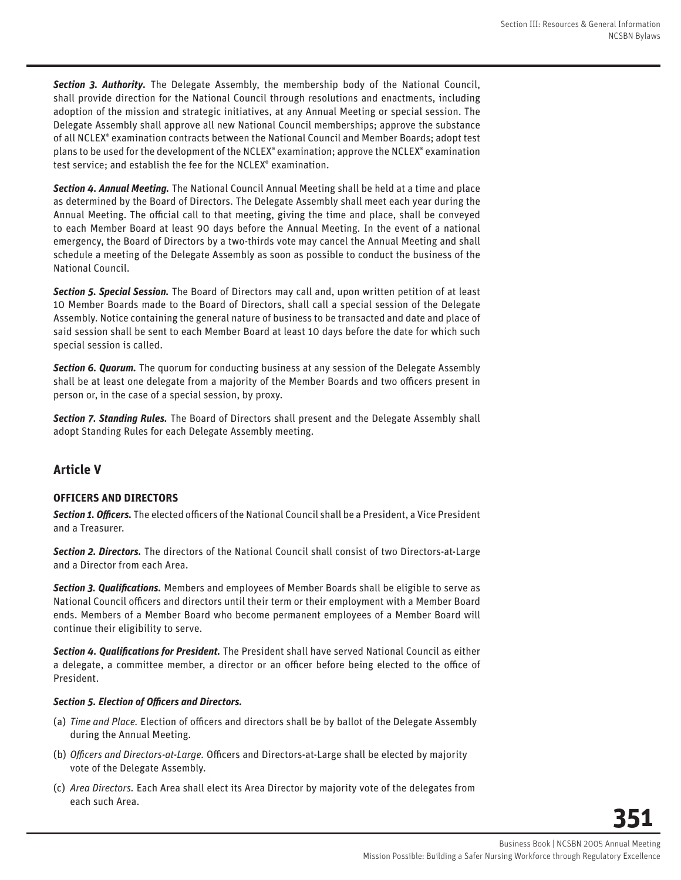*Section 3. Authority.* The Delegate Assembly, the membership body of the National Council, shall provide direction for the National Council through resolutions and enactments, including adoption of the mission and strategic initiatives, at any Annual Meeting or special session. The Delegate Assembly shall approve all new National Council memberships; approve the substance of all NCLEX® examination contracts between the National Council and Member Boards; adopt test plans to be used for the development of the NCLEX® examination; approve the NCLEX® examination test service; and establish the fee for the NCLEX® examination.

*Section 4. Annual Meeting.* The National Council Annual Meeting shall be held at a time and place as determined by the Board of Directors. The Delegate Assembly shall meet each year during the Annual Meeting. The official call to that meeting, giving the time and place, shall be conveyed to each Member Board at least 90 days before the Annual Meeting. In the event of a national emergency, the Board of Directors by a two-thirds vote may cancel the Annual Meeting and shall schedule a meeting of the Delegate Assembly as soon as possible to conduct the business of the National Council.

*Section 5. Special Session.* The Board of Directors may call and, upon written petition of at least 10 Member Boards made to the Board of Directors, shall call a special session of the Delegate Assembly. Notice containing the general nature of business to be transacted and date and place of said session shall be sent to each Member Board at least 10 days before the date for which such special session is called.

**Section 6. Quorum.** The quorum for conducting business at any session of the Delegate Assembly shall be at least one delegate from a majority of the Member Boards and two officers present in person or, in the case of a special session, by proxy.

*Section 7. Standing Rules.* The Board of Directors shall present and the Delegate Assembly shall adopt Standing Rules for each Delegate Assembly meeting.

## **Article V**

#### **OFFICERS AND DIRECTORS**

**Section 1. Officers.** The elected officers of the National Council shall be a President, a Vice President and a Treasurer.

*Section 2. Directors.* The directors of the National Council shall consist of two Directors-at-Large and a Director from each Area.

*Section 3. Qualifi cations.* Members and employees of Member Boards shall be eligible to serve as National Council officers and directors until their term or their employment with a Member Board ends. Members of a Member Board who become permanent employees of a Member Board will continue their eligibility to serve.

**Section 4. Qualifications for President.** The President shall have served National Council as either a delegate, a committee member, a director or an officer before being elected to the office of President.

#### **Section 5. Election of Officers and Directors.**

- (a) *Time and Place*. Election of officers and directors shall be by ballot of the Delegate Assembly during the Annual Meeting.
- (b) Officers and Directors-at-Large. Officers and Directors-at-Large shall be elected by majority vote of the Delegate Assembly.
- (c) *Area Directors.* Each Area shall elect its Area Director by majority vote of the delegates from each such Area.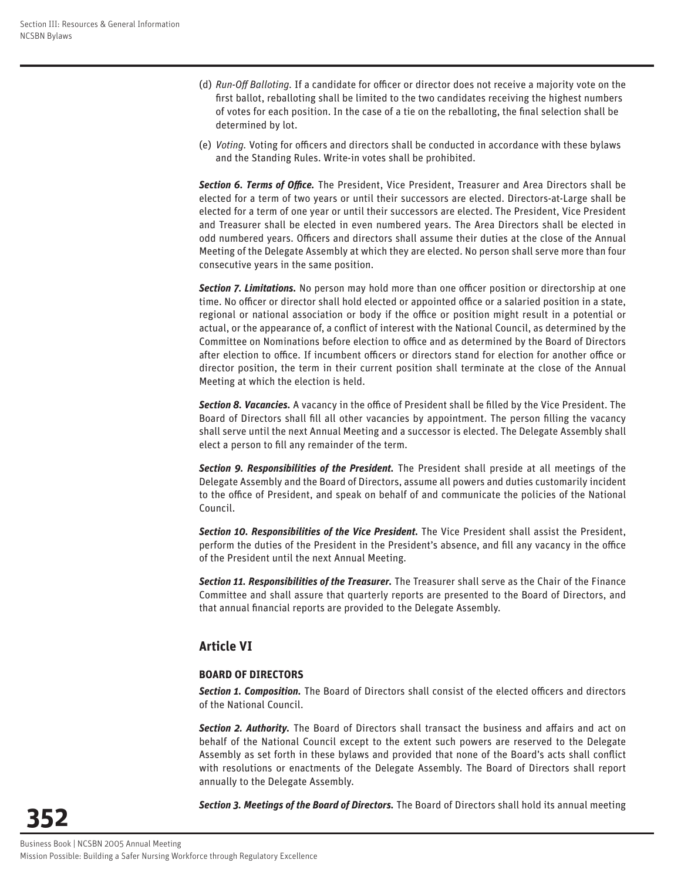- (d) *Run-Off Balloting*. If a candidate for officer or director does not receive a majority vote on the first ballot, reballoting shall be limited to the two candidates receiving the highest numbers of votes for each position. In the case of a tie on the reballoting, the final selection shall be determined by lot.
- (e) Voting. Voting for officers and directors shall be conducted in accordance with these bylaws and the Standing Rules. Write-in votes shall be prohibited.

Section 6. Terms of Office. The President, Vice President, Treasurer and Area Directors shall be elected for a term of two years or until their successors are elected. Directors-at-Large shall be elected for a term of one year or until their successors are elected. The President, Vice President and Treasurer shall be elected in even numbered years. The Area Directors shall be elected in odd numbered years. Officers and directors shall assume their duties at the close of the Annual Meeting of the Delegate Assembly at which they are elected. No person shall serve more than four consecutive years in the same position.

**Section 7. Limitations.** No person may hold more than one officer position or directorship at one time. No officer or director shall hold elected or appointed office or a salaried position in a state, regional or national association or body if the office or position might result in a potential or actual, or the appearance of, a conflict of interest with the National Council, as determined by the Committee on Nominations before election to office and as determined by the Board of Directors after election to office. If incumbent officers or directors stand for election for another office or director position, the term in their current position shall terminate at the close of the Annual Meeting at which the election is held.

**Section 8. Vacancies.** A vacancy in the office of President shall be filled by the Vice President. The Board of Directors shall fill all other vacancies by appointment. The person filling the vacancy shall serve until the next Annual Meeting and a successor is elected. The Delegate Assembly shall elect a person to fill any remainder of the term.

*Section 9. Responsibilities of the President.* The President shall preside at all meetings of the Delegate Assembly and the Board of Directors, assume all powers and duties customarily incident to the office of President, and speak on behalf of and communicate the policies of the National Council.

*Section 10. Responsibilities of the Vice President.* The Vice President shall assist the President, perform the duties of the President in the President's absence, and fill any vacancy in the office of the President until the next Annual Meeting.

Section 11. Responsibilities of the Treasurer. The Treasurer shall serve as the Chair of the Finance Committee and shall assure that quarterly reports are presented to the Board of Directors, and that annual financial reports are provided to the Delegate Assembly.

## **Article VI**

#### **BOARD OF DIRECTORS**

Section 1. Composition. The Board of Directors shall consist of the elected officers and directors of the National Council.

Section 2. Authority. The Board of Directors shall transact the business and affairs and act on behalf of the National Council except to the extent such powers are reserved to the Delegate Assembly as set forth in these bylaws and provided that none of the Board's acts shall conflict with resolutions or enactments of the Delegate Assembly. The Board of Directors shall report annually to the Delegate Assembly.

*Section 3. Meetings of the Board of Directors.* The Board of Directors shall hold its annual meeting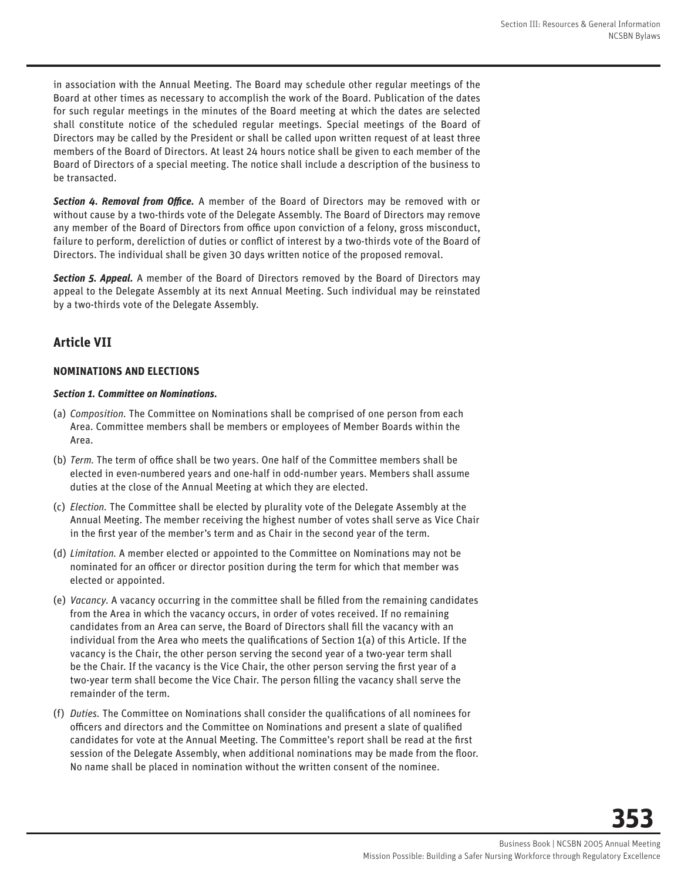in association with the Annual Meeting. The Board may schedule other regular meetings of the Board at other times as necessary to accomplish the work of the Board. Publication of the dates for such regular meetings in the minutes of the Board meeting at which the dates are selected shall constitute notice of the scheduled regular meetings. Special meetings of the Board of Directors may be called by the President or shall be called upon written request of at least three members of the Board of Directors. At least 24 hours notice shall be given to each member of the Board of Directors of a special meeting. The notice shall include a description of the business to be transacted.

**Section 4. Removal from Office.** A member of the Board of Directors may be removed with or without cause by a two-thirds vote of the Delegate Assembly. The Board of Directors may remove any member of the Board of Directors from office upon conviction of a felony, gross misconduct, failure to perform, dereliction of duties or conflict of interest by a two-thirds vote of the Board of Directors. The individual shall be given 30 days written notice of the proposed removal.

*Section 5. Appeal.* A member of the Board of Directors removed by the Board of Directors may appeal to the Delegate Assembly at its next Annual Meeting. Such individual may be reinstated by a two-thirds vote of the Delegate Assembly.

## **Article VII**

#### **NOMINATIONS AND ELECTIONS**

#### *Section 1. Committee on Nominations.*

- (a) *Composition.* The Committee on Nominations shall be comprised of one person from each Area. Committee members shall be members or employees of Member Boards within the Area.
- (b) *Term*. The term of office shall be two years. One half of the Committee members shall be elected in even-numbered years and one-half in odd-number years. Members shall assume duties at the close of the Annual Meeting at which they are elected.
- (c) *Election.* The Committee shall be elected by plurality vote of the Delegate Assembly at the Annual Meeting. The member receiving the highest number of votes shall serve as Vice Chair in the first year of the member's term and as Chair in the second year of the term.
- (d) *Limitation.* A member elected or appointed to the Committee on Nominations may not be nominated for an officer or director position during the term for which that member was elected or appointed.
- (e) *Vacancy.* A vacancy occurring in the committee shall be fi lled from the remaining candidates from the Area in which the vacancy occurs, in order of votes received. If no remaining candidates from an Area can serve, the Board of Directors shall fill the vacancy with an individual from the Area who meets the qualifications of Section 1(a) of this Article. If the vacancy is the Chair, the other person serving the second year of a two-year term shall be the Chair. If the vacancy is the Vice Chair, the other person serving the first year of a two-year term shall become the Vice Chair. The person filling the vacancy shall serve the remainder of the term.
- (f) *Duties*. The Committee on Nominations shall consider the qualifications of all nominees for officers and directors and the Committee on Nominations and present a slate of qualified candidates for vote at the Annual Meeting. The Committee's report shall be read at the first session of the Delegate Assembly, when additional nominations may be made from the floor. No name shall be placed in nomination without the written consent of the nominee.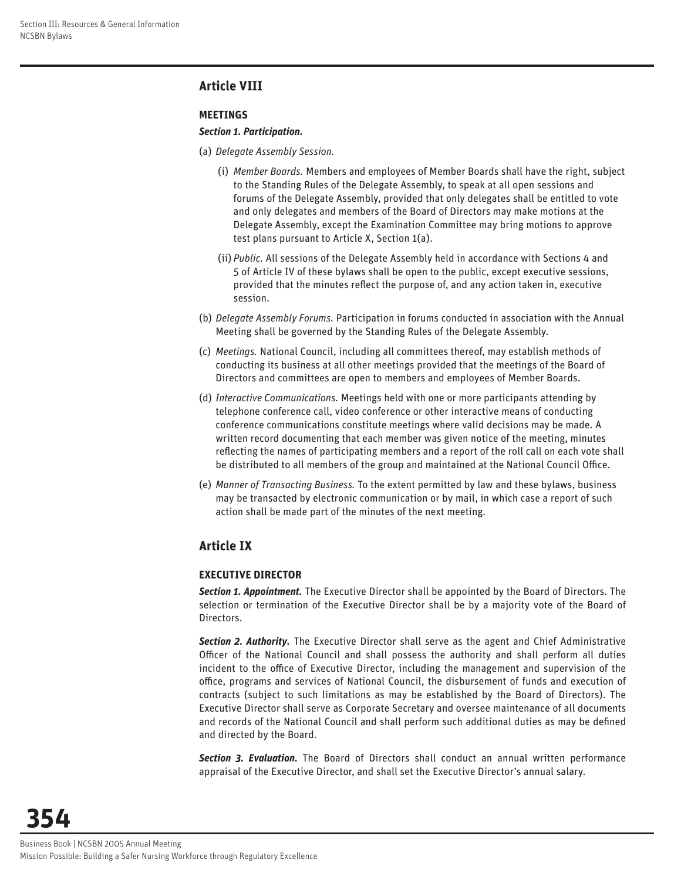## **Article VIII**

#### **MEETINGS**

#### *Section 1. Participation.*

- (a) *Delegate Assembly Session.*
	- (i) *Member Boards.* Members and employees of Member Boards shall have the right, subject to the Standing Rules of the Delegate Assembly, to speak at all open sessions and forums of the Delegate Assembly, provided that only delegates shall be entitled to vote and only delegates and members of the Board of Directors may make motions at the Delegate Assembly, except the Examination Committee may bring motions to approve test plans pursuant to Article X, Section 1(a).
	- (ii) *Public.* All sessions of the Delegate Assembly held in accordance with Sections 4 and 5 of Article IV of these bylaws shall be open to the public, except executive sessions, provided that the minutes reflect the purpose of, and any action taken in, executive session.
- (b) *Delegate Assembly Forums.* Participation in forums conducted in association with the Annual Meeting shall be governed by the Standing Rules of the Delegate Assembly.
- (c) *Meetings.* National Council, including all committees thereof, may establish methods of conducting its business at all other meetings provided that the meetings of the Board of Directors and committees are open to members and employees of Member Boards.
- (d) *Interactive Communications.* Meetings held with one or more participants attending by telephone conference call, video conference or other interactive means of conducting conference communications constitute meetings where valid decisions may be made. A written record documenting that each member was given notice of the meeting, minutes reflecting the names of participating members and a report of the roll call on each vote shall be distributed to all members of the group and maintained at the National Council Office.
- (e) *Manner of Transacting Business.* To the extent permitted by law and these bylaws, business may be transacted by electronic communication or by mail, in which case a report of such action shall be made part of the minutes of the next meeting.

## **Article IX**

#### **EXECUTIVE DIRECTOR**

*Section 1. Appointment.* The Executive Director shall be appointed by the Board of Directors. The selection or termination of the Executive Director shall be by a majority vote of the Board of Directors.

*Section 2. Authority.* The Executive Director shall serve as the agent and Chief Administrative Officer of the National Council and shall possess the authority and shall perform all duties incident to the office of Executive Director, including the management and supervision of the office, programs and services of National Council, the disbursement of funds and execution of contracts (subject to such limitations as may be established by the Board of Directors). The Executive Director shall serve as Corporate Secretary and oversee maintenance of all documents and records of the National Council and shall perform such additional duties as may be defined and directed by the Board.

*Section 3. Evaluation.* The Board of Directors shall conduct an annual written performance appraisal of the Executive Director, and shall set the Executive Director's annual salary.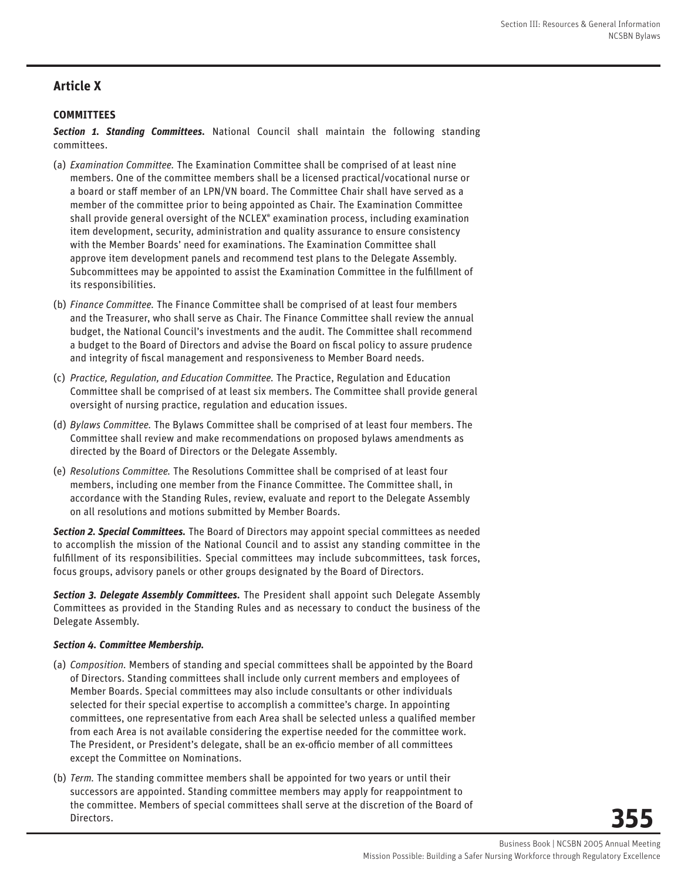## **Article X**

#### **COMMITTEES**

*Section 1. Standing Committees.* National Council shall maintain the following standing committees.

- (a) *Examination Committee.* The Examination Committee shall be comprised of at least nine members. One of the committee members shall be a licensed practical/vocational nurse or a board or staff member of an LPN/VN board. The Committee Chair shall have served as a member of the committee prior to being appointed as Chair. The Examination Committee shall provide general oversight of the NCLEX® examination process, including examination item development, security, administration and quality assurance to ensure consistency with the Member Boards' need for examinations. The Examination Committee shall approve item development panels and recommend test plans to the Delegate Assembly. Subcommittees may be appointed to assist the Examination Committee in the fulfillment of its responsibilities.
- (b) *Finance Committee.* The Finance Committee shall be comprised of at least four members and the Treasurer, who shall serve as Chair. The Finance Committee shall review the annual budget, the National Council's investments and the audit. The Committee shall recommend a budget to the Board of Directors and advise the Board on fiscal policy to assure prudence and integrity of fiscal management and responsiveness to Member Board needs.
- (c) *Practice, Regulation, and Education Committee.* The Practice, Regulation and Education Committee shall be comprised of at least six members. The Committee shall provide general oversight of nursing practice, regulation and education issues.
- (d) *Bylaws Committee.* The Bylaws Committee shall be comprised of at least four members. The Committee shall review and make recommendations on proposed bylaws amendments as directed by the Board of Directors or the Delegate Assembly.
- (e) *Resolutions Committee.* The Resolutions Committee shall be comprised of at least four members, including one member from the Finance Committee. The Committee shall, in accordance with the Standing Rules, review, evaluate and report to the Delegate Assembly on all resolutions and motions submitted by Member Boards.

*Section 2. Special Committees.* The Board of Directors may appoint special committees as needed to accomplish the mission of the National Council and to assist any standing committee in the fulfillment of its responsibilities. Special committees may include subcommittees, task forces, focus groups, advisory panels or other groups designated by the Board of Directors.

*Section 3. Delegate Assembly Committees.* The President shall appoint such Delegate Assembly Committees as provided in the Standing Rules and as necessary to conduct the business of the Delegate Assembly.

#### *Section 4. Committee Membership.*

- (a) *Composition.* Members of standing and special committees shall be appointed by the Board of Directors. Standing committees shall include only current members and employees of Member Boards. Special committees may also include consultants or other individuals selected for their special expertise to accomplish a committee's charge. In appointing committees, one representative from each Area shall be selected unless a qualified member from each Area is not available considering the expertise needed for the committee work. The President, or President's delegate, shall be an ex-officio member of all committees except the Committee on Nominations.
- (b) *Term.* The standing committee members shall be appointed for two years or until their successors are appointed. Standing committee members may apply for reappointment to the committee. Members of special committees shall serve at the discretion of the Board of Directors.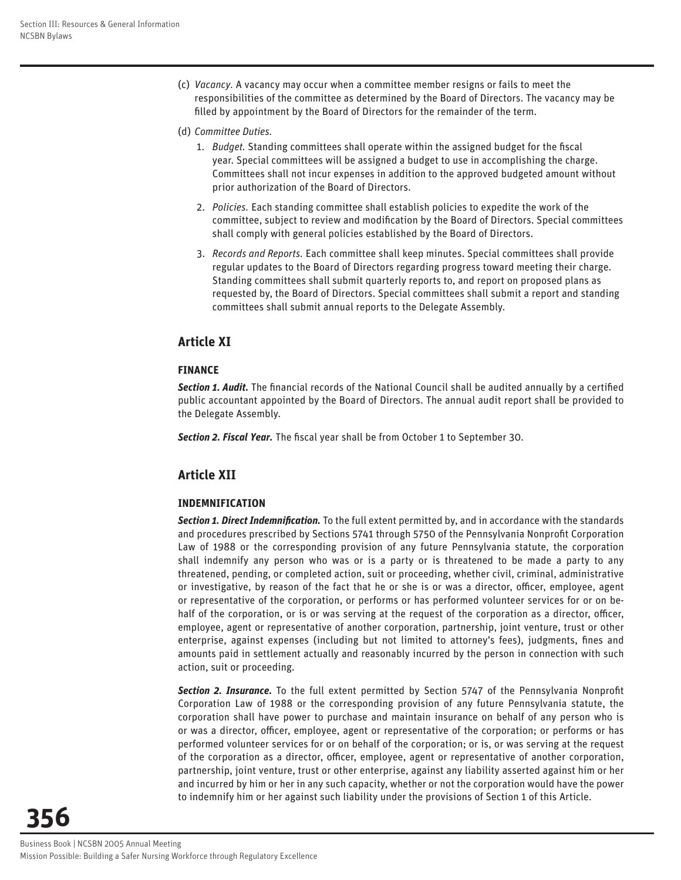- (c) *Vacancy.* A vacancy may occur when a committee member resigns or fails to meet the responsibilities of the committee as determined by the Board of Directors. The vacancy may be filled by appointment by the Board of Directors for the remainder of the term.
- (d) *Committee Duties.*
	- 1. *Budget*. Standing committees shall operate within the assigned budget for the fiscal year. Special committees will be assigned a budget to use in accomplishing the charge. Committees shall not incur expenses in addition to the approved budgeted amount without prior authorization of the Board of Directors.
	- 2. *Policies.* Each standing committee shall establish policies to expedite the work of the committee, subject to review and modification by the Board of Directors. Special committees shall comply with general policies established by the Board of Directors.
	- 3. *Records and Reports.* Each committee shall keep minutes. Special committees shall provide regular updates to the Board of Directors regarding progress toward meeting their charge. Standing committees shall submit quarterly reports to, and report on proposed plans as requested by, the Board of Directors. Special committees shall submit a report and standing committees shall submit annual reports to the Delegate Assembly.

## **Article XI**

#### **FINANCE**

**Section 1. Audit.** The financial records of the National Council shall be audited annually by a certified public accountant appointed by the Board of Directors. The annual audit report shall be provided to the Delegate Assembly.

**Section 2. Fiscal Year.** The fiscal year shall be from October 1 to September 30.

## **Article XII**

## **INDEMNIFICATION**

**Section 1. Direct Indemnification.** To the full extent permitted by, and in accordance with the standards and procedures prescribed by Sections 5741 through 5750 of the Pennsylvania Nonprofit Corporation Law of 1988 or the corresponding provision of any future Pennsylvania statute, the corporation shall indemnify any person who was or is a party or is threatened to be made a party to any threatened, pending, or completed action, suit or proceeding, whether civil, criminal, administrative or investigative, by reason of the fact that he or she is or was a director, officer, employee, agent or representative of the corporation, or performs or has performed volunteer services for or on behalf of the corporation, or is or was serving at the request of the corporation as a director, officer, employee, agent or representative of another corporation, partnership, joint venture, trust or other enterprise, against expenses (including but not limited to attorney's fees), judgments, fines and amounts paid in settlement actually and reasonably incurred by the person in connection with such action, suit or proceeding.

**Section 2. Insurance.** To the full extent permitted by Section 5747 of the Pennsylvania Nonprofit Corporation Law of 1988 or the corresponding provision of any future Pennsylvania statute, the corporation shall have power to purchase and maintain insurance on behalf of any person who is or was a director, officer, employee, agent or representative of the corporation; or performs or has performed volunteer services for or on behalf of the corporation; or is, or was serving at the request of the corporation as a director, officer, employee, agent or representative of another corporation, partnership, joint venture, trust or other enterprise, against any liability asserted against him or her and incurred by him or her in any such capacity, whether or not the corporation would have the power to indemnify him or her against such liability under the provisions of Section 1 of this Article.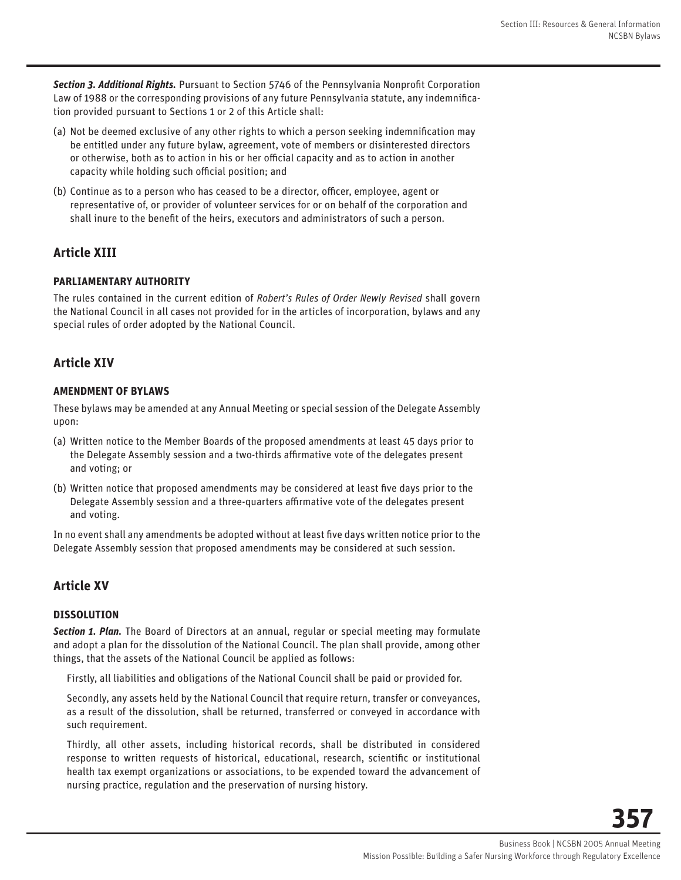**Section 3. Additional Rights.** Pursuant to Section 5746 of the Pennsylvania Nonprofit Corporation Law of 1988 or the corresponding provisions of any future Pennsylvania statute, any indemnification provided pursuant to Sections 1 or 2 of this Article shall:

- (a) Not be deemed exclusive of any other rights to which a person seeking indemnification may be entitled under any future bylaw, agreement, vote of members or disinterested directors or otherwise, both as to action in his or her official capacity and as to action in another capacity while holding such official position; and
- (b) Continue as to a person who has ceased to be a director, officer, employee, agent or representative of, or provider of volunteer services for or on behalf of the corporation and shall inure to the benefit of the heirs, executors and administrators of such a person.

## **Article XIII**

#### **PARLIAMENTARY AUTHORITY**

The rules contained in the current edition of *Robert's Rules of Order Newly Revised* shall govern the National Council in all cases not provided for in the articles of incorporation, bylaws and any special rules of order adopted by the National Council.

## **Article XIV**

#### **AMENDMENT OF BYLAWS**

These bylaws may be amended at any Annual Meeting or special session of the Delegate Assembly upon:

- (a) Written notice to the Member Boards of the proposed amendments at least 45 days prior to the Delegate Assembly session and a two-thirds affirmative vote of the delegates present and voting; or
- (b) Written notice that proposed amendments may be considered at least five days prior to the Delegate Assembly session and a three-quarters affirmative vote of the delegates present and voting.

In no event shall any amendments be adopted without at least five days written notice prior to the Delegate Assembly session that proposed amendments may be considered at such session.

## **Article XV**

## **DISSOLUTION**

*Section 1. Plan.* The Board of Directors at an annual, regular or special meeting may formulate and adopt a plan for the dissolution of the National Council. The plan shall provide, among other things, that the assets of the National Council be applied as follows:

Firstly, all liabilities and obligations of the National Council shall be paid or provided for.

Secondly, any assets held by the National Council that require return, transfer or conveyances, as a result of the dissolution, shall be returned, transferred or conveyed in accordance with such requirement.

Thirdly, all other assets, including historical records, shall be distributed in considered response to written requests of historical, educational, research, scientific or institutional health tax exempt organizations or associations, to be expended toward the advancement of nursing practice, regulation and the preservation of nursing history.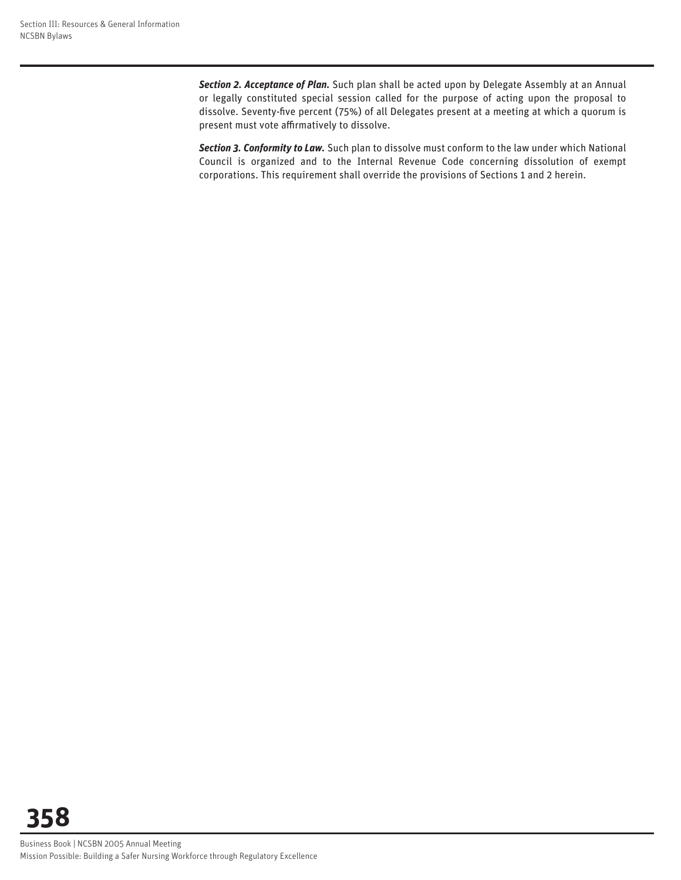*Section 2. Acceptance of Plan.* Such plan shall be acted upon by Delegate Assembly at an Annual or legally constituted special session called for the purpose of acting upon the proposal to dissolve. Seventy-five percent (75%) of all Delegates present at a meeting at which a quorum is present must vote affirmatively to dissolve.

*Section 3. Conformity to Law.* Such plan to dissolve must conform to the law under which National Council is organized and to the Internal Revenue Code concerning dissolution of exempt corporations. This requirement shall override the provisions of Sections 1 and 2 herein.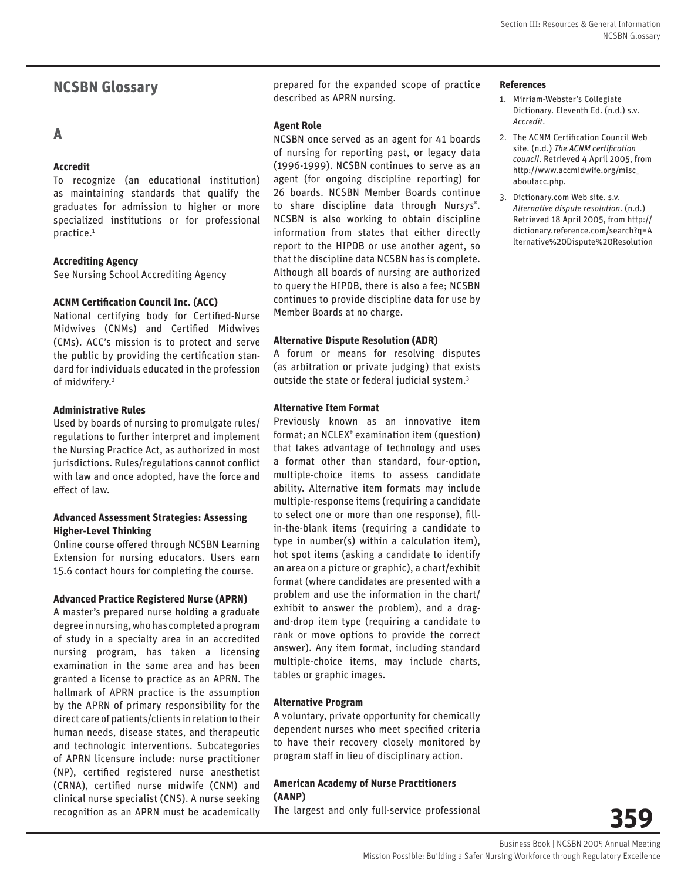## **NCSBN Glossary**

## **A**

#### **Accredit**

To recognize (an educational institution) as maintaining standards that qualify the graduates for admission to higher or more specialized institutions or for professional practice.1

#### **Accrediting Agency**

See Nursing School Accrediting Agency

#### **ACNM Certification Council Inc. (ACC)**

National certifying body for Certified-Nurse Midwives (CNMs) and Certified Midwives (CMs). ACC's mission is to protect and serve the public by providing the certification standard for individuals educated in the profession of midwifery.<sup>2</sup>

#### **Administrative Rules**

Used by boards of nursing to promulgate rules/ regulations to further interpret and implement the Nursing Practice Act, as authorized in most jurisdictions. Rules/regulations cannot conflict with law and once adopted, have the force and effect of law.

#### **Advanced Assessment Strategies: Assessing Higher-Level Thinking**

Online course offered through NCSBN Learning Extension for nursing educators. Users earn 15.6 contact hours for completing the course.

#### **Advanced Practice Registered Nurse (APRN)**

A master's prepared nurse holding a graduate degree in nursing, who has completed a program of study in a specialty area in an accredited nursing program, has taken a licensing examination in the same area and has been granted a license to practice as an APRN. The hallmark of APRN practice is the assumption by the APRN of primary responsibility for the direct care of patients/clients in relation to their human needs, disease states, and therapeutic and technologic interventions. Subcategories of APRN licensure include: nurse practitioner (NP), certified registered nurse anesthetist (CRNA), certified nurse midwife (CNM) and clinical nurse specialist (CNS). A nurse seeking recognition as an APRN must be academically

prepared for the expanded scope of practice described as APRN nursing.

#### **Agent Role**

NCSBN once served as an agent for 41 boards of nursing for reporting past, or legacy data (1996-1999). NCSBN continues to serve as an agent (for ongoing discipline reporting) for 26 boards. NCSBN Member Boards continue to share discipline data through Nur*sys*® . NCSBN is also working to obtain discipline information from states that either directly report to the HIPDB or use another agent, so that the discipline data NCSBN has is complete. Although all boards of nursing are authorized to query the HIPDB, there is also a fee; NCSBN continues to provide discipline data for use by Member Boards at no charge.

#### **Alternative Dispute Resolution (ADR)**

A forum or means for resolving disputes (as arbitration or private judging) that exists outside the state or federal judicial system.<sup>3</sup>

#### **Alternative Item Format**

Previously known as an innovative item format; an NCLEX® examination item (question) that takes advantage of technology and uses a format other than standard, four-option, multiple-choice items to assess candidate ability. Alternative item formats may include multiple-response items (requiring a candidate to select one or more than one response), fillin-the-blank items (requiring a candidate to type in number(s) within a calculation item), hot spot items (asking a candidate to identify an area on a picture or graphic), a chart/exhibit format (where candidates are presented with a problem and use the information in the chart/ exhibit to answer the problem), and a dragand-drop item type (requiring a candidate to rank or move options to provide the correct answer). Any item format, including standard multiple-choice items, may include charts, tables or graphic images.

#### **Alternative Program**

A voluntary, private opportunity for chemically dependent nurses who meet specified criteria to have their recovery closely monitored by program staff in lieu of disciplinary action.

#### **American Academy of Nurse Practitioners (AANP)**

The largest and only full-service professional

**References**

- 1. Mirriam-Webster's Collegiate Dictionary. Eleventh Ed. (n.d.) s.v. *Accredit*.
- 2. The ACNM Certification Council Web site. (n.d.) The ACNM certification *council*. Retrieved 4 April 2005, from http://www.accmidwife.org/misc\_ aboutacc.php.
- 3. Dictionary.com Web site. s.v. *Alternative dispute resolution*. (n.d.) Retrieved 18 April 2005, from http:// dictionary.reference.com/search?q=A lternative%20Dispute%20Resolution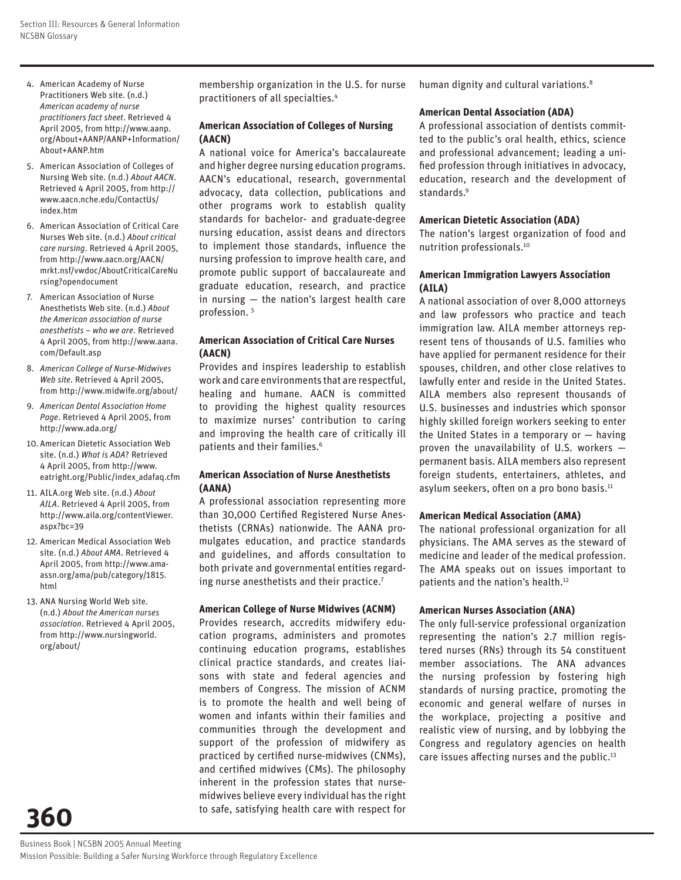- 4. American Academy of Nurse Practitioners Web site. (n.d.) *American academy of nurse practitioners fact sheet*. Retrieved 4 April 2005, from http://www.aanp. org/About+AANP/AANP+Information/ About+AANP.htm
- 5. American Association of Colleges of Nursing Web site. (n.d.) *About AACN*. Retrieved 4 April 2005, from http:// www.aacn.nche.edu/ContactUs/ index.htm
- 6. American Association of Critical Care Nurses Web site. (n.d.) *About critical care nursing*. Retrieved 4 April 2005, from http://www.aacn.org/AACN/ mrkt.nsf/vwdoc/AboutCriticalCareNu rsing?opendocument
- 7. American Association of Nurse Anesthetists Web site. (n.d.) *About the American association of nurse anesthetists – who we are*. Retrieved 4 April 2005, from http://www.aana. com/Default.asp
- 8. *American College of Nurse-Midwives Web site*. Retrieved 4 April 2005, from http://www.midwife.org/about/
- 9. *American Dental Association Home Page*. Retrieved 4 April 2005, from http://www.ada.org/
- 10. American Dietetic Association Web site. (n.d.) *What is ADA*? Retrieved 4 April 2005, from http://www. eatright.org/Public/index\_adafaq.cfm
- 11. AILA.org Web site. (n.d.) *About AILA*. Retrieved 4 April 2005, from http://www.aila.org/contentViewer. aspx?bc=39
- 12. American Medical Association Web site. (n.d.) *About AMA*. Retrieved 4 April 2005, from http://www.amaassn.org/ama/pub/category/1815. html
- 13. ANA Nursing World Web site. (n.d.) *About the American nurses association*. Retrieved 4 April 2005, from http://www.nursingworld. org/about/

**360**

membership organization in the U.S. for nurse practitioners of all specialties.4

#### **American Association of Colleges of Nursing (AACN)**

A national voice for America's baccalaureate and higher degree nursing education programs. AACN's educational, research, governmental advocacy, data collection, publications and other programs work to establish quality standards for bachelor- and graduate-degree nursing education, assist deans and directors to implement those standards, influence the nursing profession to improve health care, and promote public support of baccalaureate and graduate education, research, and practice in nursing — the nation's largest health care profession.<sup>5</sup>

#### **American Association of Critical Care Nurses (AACN)**

Provides and inspires leadership to establish work and care environments that are respectful, healing and humane. AACN is committed to providing the highest quality resources to maximize nurses' contribution to caring and improving the health care of critically ill patients and their families.<sup>6</sup>

#### **American Association of Nurse Anesthetists (AANA)**

A professional association representing more than 30,000 Certified Registered Nurse Anesthetists (CRNAs) nationwide. The AANA promulgates education, and practice standards and guidelines, and affords consultation to both private and governmental entities regarding nurse anesthetists and their practice.<sup>7</sup>

#### **American College of Nurse Midwives (ACNM)**

Provides research, accredits midwifery education programs, administers and promotes continuing education programs, establishes clinical practice standards, and creates liaisons with state and federal agencies and members of Congress. The mission of ACNM is to promote the health and well being of women and infants within their families and communities through the development and support of the profession of midwifery as practiced by certified nurse-midwives (CNMs), and certified midwives (CMs). The philosophy inherent in the profession states that nursemidwives believe every individual has the right to safe, satisfying health care with respect for human dignity and cultural variations.<sup>8</sup>

#### **American Dental Association (ADA)**

A professional association of dentists committed to the public's oral health, ethics, science and professional advancement; leading a unified profession through initiatives in advocacy, education, research and the development of standards.<sup>9</sup>

#### **American Dietetic Association (ADA)**

The nation's largest organization of food and nutrition professionals.10

#### **American Immigration Lawyers Association (AILA)**

A national association of over 8,000 attorneys and law professors who practice and teach immigration law. AILA member attorneys represent tens of thousands of U.S. families who have applied for permanent residence for their spouses, children, and other close relatives to lawfully enter and reside in the United States. AILA members also represent thousands of U.S. businesses and industries which sponsor highly skilled foreign workers seeking to enter the United States in a temporary or — having proven the unavailability of U.S. workers permanent basis. AILA members also represent foreign students, entertainers, athletes, and asylum seekers, often on a pro bono basis.<sup>11</sup>

#### **American Medical Association (AMA)**

The national professional organization for all physicians. The AMA serves as the steward of medicine and leader of the medical profession. The AMA speaks out on issues important to patients and the nation's health.12

#### **American Nurses Association (ANA)**

The only full-service professional organization representing the nation's 2.7 million registered nurses (RNs) through its 54 constituent member associations. The ANA advances the nursing profession by fostering high standards of nursing practice, promoting the economic and general welfare of nurses in the workplace, projecting a positive and realistic view of nursing, and by lobbying the Congress and regulatory agencies on health care issues affecting nurses and the public.<sup>13</sup>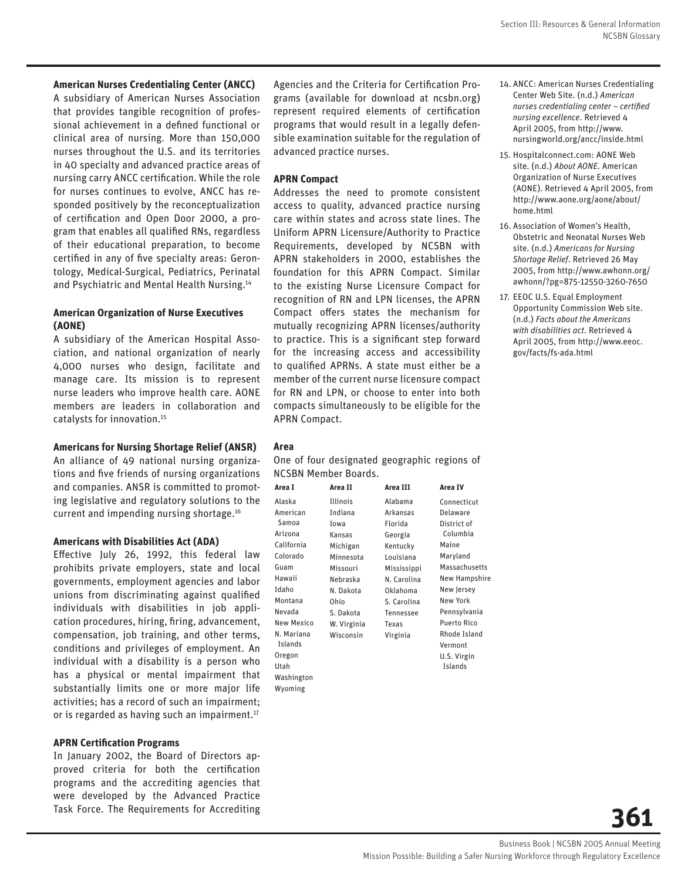#### **American Nurses Credentialing Center (ANCC)**

A subsidiary of American Nurses Association that provides tangible recognition of professional achievement in a defined functional or clinical area of nursing. More than 150,000 nurses throughout the U.S. and its territories in 40 specialty and advanced practice areas of nursing carry ANCC certification. While the role for nurses continues to evolve, ANCC has responded positively by the reconceptualization of certification and Open Door 2000, a program that enables all qualified RNs, regardless of their educational preparation, to become certified in any of five specialty areas: Gerontology, Medical-Surgical, Pediatrics, Perinatal and Psychiatric and Mental Health Nursing.14

#### **American Organization of Nurse Executives (AONE)**

A subsidiary of the American Hospital Association, and national organization of nearly 4,000 nurses who design, facilitate and manage care. Its mission is to represent nurse leaders who improve health care. AONE members are leaders in collaboration and catalysts for innovation.15

#### **Americans for Nursing Shortage Relief (ANSR)**

An alliance of 49 national nursing organizations and five friends of nursing organizations and companies. ANSR is committed to promoting legislative and regulatory solutions to the current and impending nursing shortage.16

#### **Americans with Disabilities Act (ADA)**

Effective July 26, 1992, this federal law prohibits private employers, state and local governments, employment agencies and labor unions from discriminating against qualified individuals with disabilities in job application procedures, hiring, firing, advancement, compensation, job training, and other terms, conditions and privileges of employment. An individual with a disability is a person who has a physical or mental impairment that substantially limits one or more major life activities; has a record of such an impairment; or is regarded as having such an impairment.<sup>17</sup>

#### **APRN Certification Programs**

In January 2002, the Board of Directors approved criteria for both the certification programs and the accrediting agencies that were developed by the Advanced Practice Task Force. The Requirements for Accrediting

Agencies and the Criteria for Certification Programs (available for download at ncsbn.org) represent required elements of certification programs that would result in a legally defensible examination suitable for the regulation of advanced practice nurses.

#### **APRN Compact**

Addresses the need to promote consistent access to quality, advanced practice nursing care within states and across state lines. The Uniform APRN Licensure/Authority to Practice Requirements, developed by NCSBN with APRN stakeholders in 2000, establishes the foundation for this APRN Compact. Similar to the existing Nurse Licensure Compact for recognition of RN and LPN licenses, the APRN Compact offers states the mechanism for mutually recognizing APRN licenses/authority to practice. This is a significant step forward for the increasing access and accessibility to qualified APRNs. A state must either be a member of the current nurse licensure compact for RN and LPN, or choose to enter into both compacts simultaneously to be eligible for the APRN Compact.

#### **Area**

Wyoming

One of four designated geographic regions of NCSBN Member Boards.

| Area I     | Area II     | Area III    | Area IV              |
|------------|-------------|-------------|----------------------|
| Alaska     | Illinois    | Alabama     | Connecticut          |
| American   | Indiana     | Arkansas    | Delaware             |
| Samoa      | Iowa        | Florida     | District of          |
| Arizona    | Kansas      | Georgia     | Columbia             |
| California | Michigan    | Kentucky    | Maine                |
| Colorado   | Minnesota   | Louisiana   | Maryland             |
| Guam       | Missouri    | Mississippi | Massachusetts        |
| Hawaii     | Nebraska    | N. Carolina | <b>New Hampshire</b> |
| Idaho      | N. Dakota   | Oklahoma    | New Jersey           |
| Montana    | Ohio        | S. Carolina | <b>New York</b>      |
| Nevada     | S. Dakota   | Tennessee   | Pennsylvania         |
| New Mexico | W. Virginia | Texas       | <b>Puerto Rico</b>   |
| N. Mariana | Wisconsin   | Virginia    | Rhode Island         |
| Islands    |             |             | Vermont              |
| Oregon     |             |             | U.S. Virgin          |
| Utah       |             |             | Islands              |
| Washington |             |             |                      |
|            |             |             |                      |

- 14. ANCC: American Nurses Credentialing Center Web Site. (n.d.) *American nurses credentialing center - certified nursing excellence*. Retrieved 4 April 2005, from http://www. nursingworld.org/ancc/inside.html
- 15. Hospitalconnect.com: AONE Web site. (n.d.) *About AONE*. American Organization of Nurse Executives (AONE). Retrieved 4 April 2005, from http://www.aone.org/aone/about/ home.html
- 16. Association of Women's Health, Obstetric and Neonatal Nurses Web site. (n.d.) *Americans for Nursing Shortage Relief*. Retrieved 26 May 2005, from http://www.awhonn.org/ awhonn/?pg=875-12550-3260-7650
- 17. EEOC U.S. Equal Employment Opportunity Commission Web site. (n.d.) *Facts about the Americans with disabilities act*. Retrieved 4 April 2005, from http://www.eeoc. gov/facts/fs-ada.html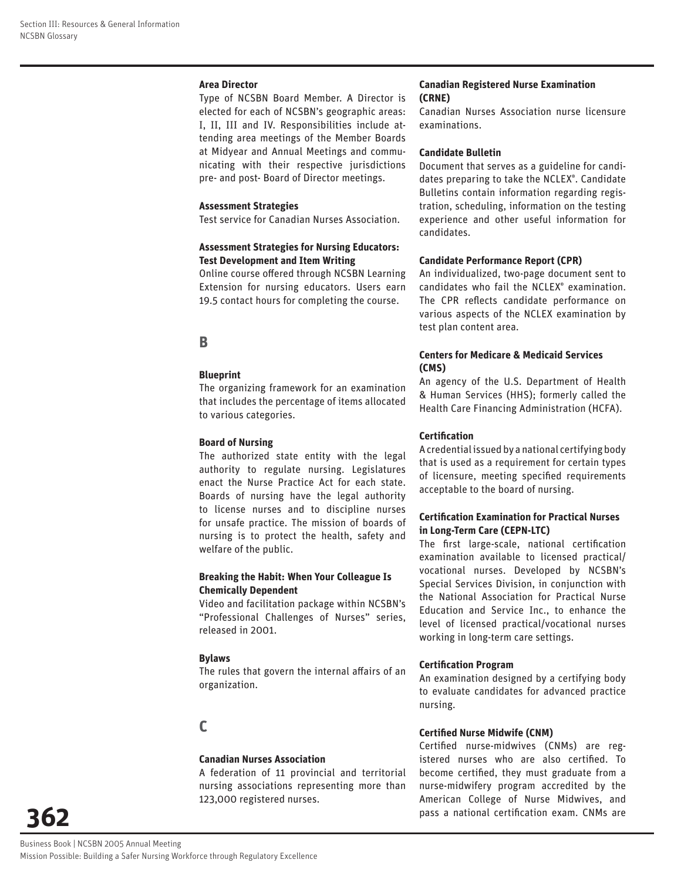#### **Area Director**

Type of NCSBN Board Member. A Director is elected for each of NCSBN's geographic areas: I, II, III and IV. Responsibilities include attending area meetings of the Member Boards at Midyear and Annual Meetings and communicating with their respective jurisdictions pre- and post- Board of Director meetings.

#### **Assessment Strategies**

Test service for Canadian Nurses Association.

#### **Assessment Strategies for Nursing Educators: Test Development and Item Writing**

Online course offered through NCSBN Learning Extension for nursing educators. Users earn 19.5 contact hours for completing the course.

## **B**

#### **Blueprint**

The organizing framework for an examination that includes the percentage of items allocated to various categories.

#### **Board of Nursing**

The authorized state entity with the legal authority to regulate nursing. Legislatures enact the Nurse Practice Act for each state. Boards of nursing have the legal authority to license nurses and to discipline nurses for unsafe practice. The mission of boards of nursing is to protect the health, safety and welfare of the public.

#### **Breaking the Habit: When Your Colleague Is Chemically Dependent**

Video and facilitation package within NCSBN's "Professional Challenges of Nurses" series, released in 2001.

#### **Bylaws**

The rules that govern the internal affairs of an organization.

## **C**

#### **Canadian Nurses Association**

A federation of 11 provincial and territorial nursing associations representing more than 123,000 registered nurses.

#### **Canadian Registered Nurse Examination (CRNE)**

Canadian Nurses Association nurse licensure examinations.

#### **Candidate Bulletin**

Document that serves as a guideline for candidates preparing to take the NCLEX® . Candidate Bulletins contain information regarding registration, scheduling, information on the testing experience and other useful information for candidates.

#### **Candidate Performance Report (CPR)**

An individualized, two-page document sent to candidates who fail the NCLEX® examination. The CPR reflects candidate performance on various aspects of the NCLEX examination by test plan content area.

#### **Centers for Medicare & Medicaid Services (CMS)**

An agency of the U.S. Department of Health & Human Services (HHS); formerly called the Health Care Financing Administration (HCFA).

#### **Certifi cation**

A credential issued by a national certifying body that is used as a requirement for certain types of licensure, meeting specified requirements acceptable to the board of nursing.

#### **Certifi cation Examination for Practical Nurses in Long-Term Care (CEPN-LTC)**

The first large-scale, national certification examination available to licensed practical/ vocational nurses. Developed by NCSBN's Special Services Division, in conjunction with the National Association for Practical Nurse Education and Service Inc., to enhance the level of licensed practical/vocational nurses working in long-term care settings.

#### **Certification Program**

An examination designed by a certifying body to evaluate candidates for advanced practice nursing.

#### **Certified Nurse Midwife (CNM)**

Certified nurse-midwives (CNMs) are registered nurses who are also certified. To become certified, they must graduate from a nurse-midwifery program accredited by the American College of Nurse Midwives, and pass a national certification exam. CNMs are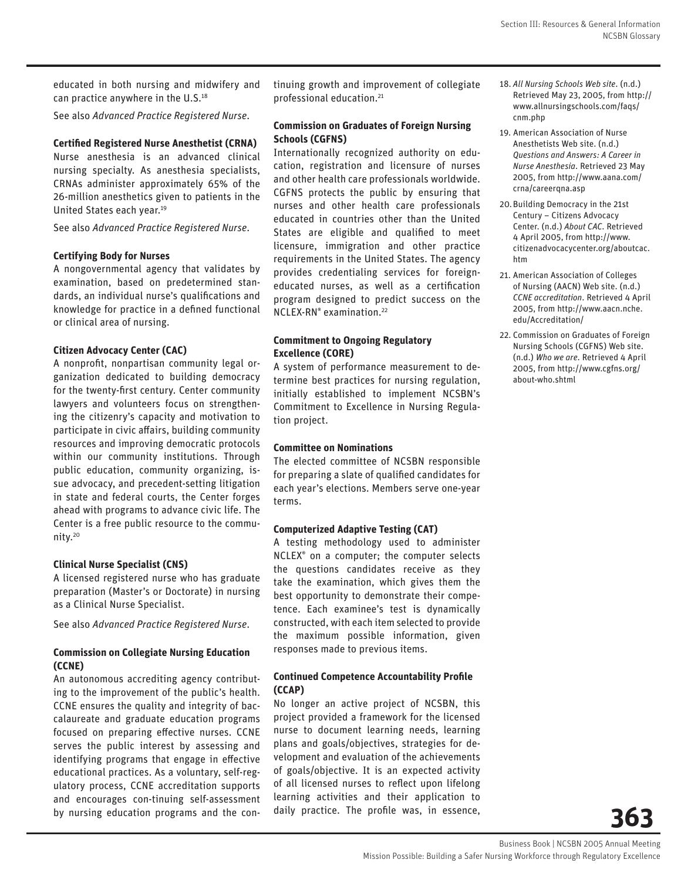educated in both nursing and midwifery and can practice anywhere in the U.S.<sup>18</sup>

See also *Advanced Practice Registered Nurse*.

#### **Certified Registered Nurse Anesthetist (CRNA)**

Nurse anesthesia is an advanced clinical nursing specialty. As anesthesia specialists, CRNAs administer approximately 65% of the 26-million anesthetics given to patients in the United States each year.19

See also *Advanced Practice Registered Nurse*.

#### **Certifying Body for Nurses**

A nongovernmental agency that validates by examination, based on predetermined standards, an individual nurse's qualifications and knowledge for practice in a defined functional or clinical area of nursing.

#### **Citizen Advocacy Center (CAC)**

A nonprofit, nonpartisan community legal organization dedicated to building democracy for the twenty-first century. Center community lawyers and volunteers focus on strengthening the citizenry's capacity and motivation to participate in civic affairs, building community resources and improving democratic protocols within our community institutions. Through public education, community organizing, issue advocacy, and precedent-setting litigation in state and federal courts, the Center forges ahead with programs to advance civic life. The Center is a free public resource to the community.20

#### **Clinical Nurse Specialist (CNS)**

A licensed registered nurse who has graduate preparation (Master's or Doctorate) in nursing as a Clinical Nurse Specialist.

See also *Advanced Practice Registered Nurse*.

#### **Commission on Collegiate Nursing Education (CCNE)**

An autonomous accrediting agency contributing to the improvement of the public's health. CCNE ensures the quality and integrity of baccalaureate and graduate education programs focused on preparing effective nurses. CCNE serves the public interest by assessing and identifying programs that engage in effective educational practices. As a voluntary, self-regulatory process, CCNE accreditation supports and encourages con-tinuing self-assessment by nursing education programs and the continuing growth and improvement of collegiate professional education.21

#### **Commission on Graduates of Foreign Nursing Schools (CGFNS)**

Internationally recognized authority on education, registration and licensure of nurses and other health care professionals worldwide. CGFNS protects the public by ensuring that nurses and other health care professionals educated in countries other than the United States are eligible and qualified to meet licensure, immigration and other practice requirements in the United States. The agency provides credentialing services for foreigneducated nurses, as well as a certification program designed to predict success on the NCLEX-RN® examination.22

#### **Commitment to Ongoing Regulatory Excellence (CORE)**

A system of performance measurement to determine best practices for nursing regulation, initially established to implement NCSBN's Commitment to Excellence in Nursing Regulation project.

#### **Committee on Nominations**

The elected committee of NCSBN responsible for preparing a slate of qualified candidates for each year's elections. Members serve one-year terms.

#### **Computerized Adaptive Testing (CAT)**

A testing methodology used to administer NCLEX® on a computer; the computer selects the questions candidates receive as they take the examination, which gives them the best opportunity to demonstrate their competence. Each examinee's test is dynamically constructed, with each item selected to provide the maximum possible information, given responses made to previous items.

#### **Continued Competence Accountability Profile (CCAP)**

No longer an active project of NCSBN, this project provided a framework for the licensed nurse to document learning needs, learning plans and goals/objectives, strategies for development and evaluation of the achievements of goals/objective. It is an expected activity of all licensed nurses to reflect upon lifelong learning activities and their application to daily practice. The profile was, in essence,

- 18. *All Nursing Schools Web site*. (n.d.) Retrieved May 23, 2005, from http:// www.allnursingschools.com/faqs/ cnm.php
- 19. American Association of Nurse Anesthetists Web site. (n.d.) *Questions and Answers: A Career in Nurse Anesthesia*. Retrieved 23 May 2005, from http://www.aana.com/ crna/careerqna.asp
- 20. Building Democracy in the 21st Century – Citizens Advocacy Center. (n.d.) *About CAC*. Retrieved 4 April 2005, from http://www. citizenadvocacycenter.org/aboutcac. htm
- 21. American Association of Colleges of Nursing (AACN) Web site. (n.d.) *CCNE accreditation*. Retrieved 4 April 2005, from http://www.aacn.nche. edu/Accreditation/
- 22. Commission on Graduates of Foreign Nursing Schools (CGFNS) Web site. (n.d.) *Who we are*. Retrieved 4 April 2005, from http://www.cgfns.org/ about-who.shtml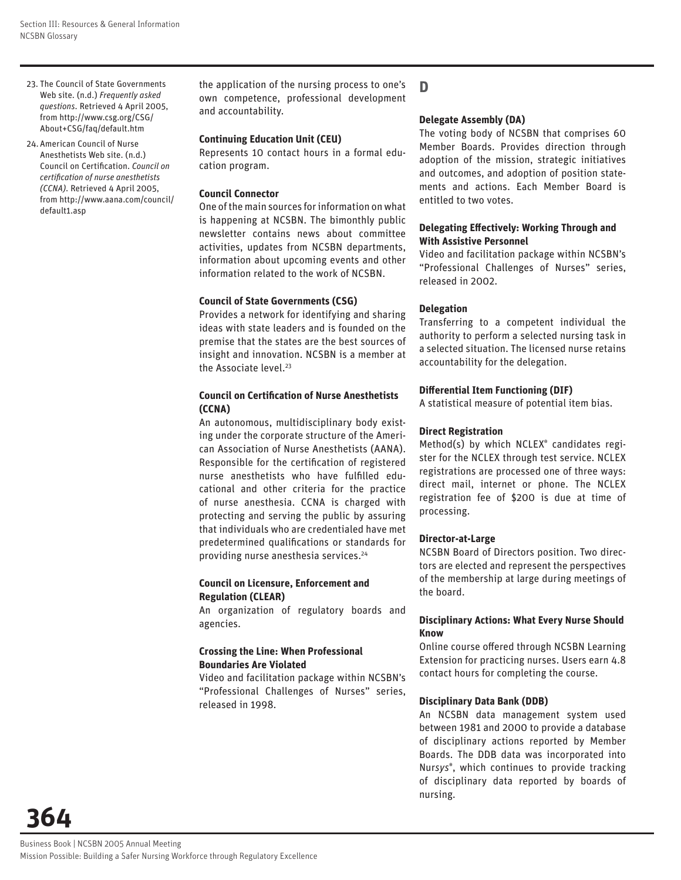- 23. The Council of State Governments Web site. (n.d.) *Frequently asked questions*. Retrieved 4 April 2005, from http://www.csg.org/CSG/ About+CSG/faq/default.htm
- 24. American Council of Nurse Anesthetists Web site. (n.d.) **Council on Certification.** *Council on certifi cation of nurse anesthetists (CCNA)*. Retrieved 4 April 2005, from http://www.aana.com/council/ default1.asp

the application of the nursing process to one's own competence, professional development and accountability.

#### **Continuing Education Unit (CEU)**

Represents 10 contact hours in a formal education program.

#### **Council Connector**

One of the main sources for information on what is happening at NCSBN. The bimonthly public newsletter contains news about committee activities, updates from NCSBN departments, information about upcoming events and other information related to the work of NCSBN.

#### **Council of State Governments (CSG)**

Provides a network for identifying and sharing ideas with state leaders and is founded on the premise that the states are the best sources of insight and innovation. NCSBN is a member at the Associate level.<sup>23</sup>

#### **Council on Certification of Nurse Anesthetists (CCNA)**

An autonomous, multidisciplinary body existing under the corporate structure of the American Association of Nurse Anesthetists (AANA). Responsible for the certification of registered nurse anesthetists who have fulfilled educational and other criteria for the practice of nurse anesthesia. CCNA is charged with protecting and serving the public by assuring that individuals who are credentialed have met predetermined qualifications or standards for providing nurse anesthesia services.<sup>24</sup>

#### **Council on Licensure, Enforcement and Regulation (CLEAR)**

An organization of regulatory boards and agencies.

#### **Crossing the Line: When Professional Boundaries Are Violated**

Video and facilitation package within NCSBN's "Professional Challenges of Nurses" series, released in 1998.

## **D**

#### **Delegate Assembly (DA)**

The voting body of NCSBN that comprises 60 Member Boards. Provides direction through adoption of the mission, strategic initiatives and outcomes, and adoption of position statements and actions. Each Member Board is entitled to two votes.

#### **Delegating Effectively: Working Through and With Assistive Personnel**

Video and facilitation package within NCSBN's "Professional Challenges of Nurses" series, released in 2002.

#### **Delegation**

Transferring to a competent individual the authority to perform a selected nursing task in a selected situation. The licensed nurse retains accountability for the delegation.

#### **Diff erential Item Functioning (DIF)**

A statistical measure of potential item bias.

#### **Direct Registration**

Method(s) by which NCLEX® candidates register for the NCLEX through test service. NCLEX registrations are processed one of three ways: direct mail, internet or phone. The NCLEX registration fee of \$200 is due at time of processing.

#### **Director-at-Large**

NCSBN Board of Directors position. Two directors are elected and represent the perspectives of the membership at large during meetings of the board.

#### **Disciplinary Actions: What Every Nurse Should Know**

Online course offered through NCSBN Learning Extension for practicing nurses. Users earn 4.8 contact hours for completing the course.

#### **Disciplinary Data Bank (DDB)**

An NCSBN data management system used between 1981 and 2000 to provide a database of disciplinary actions reported by Member Boards. The DDB data was incorporated into Nur*sys*® , which continues to provide tracking of disciplinary data reported by boards of nursing.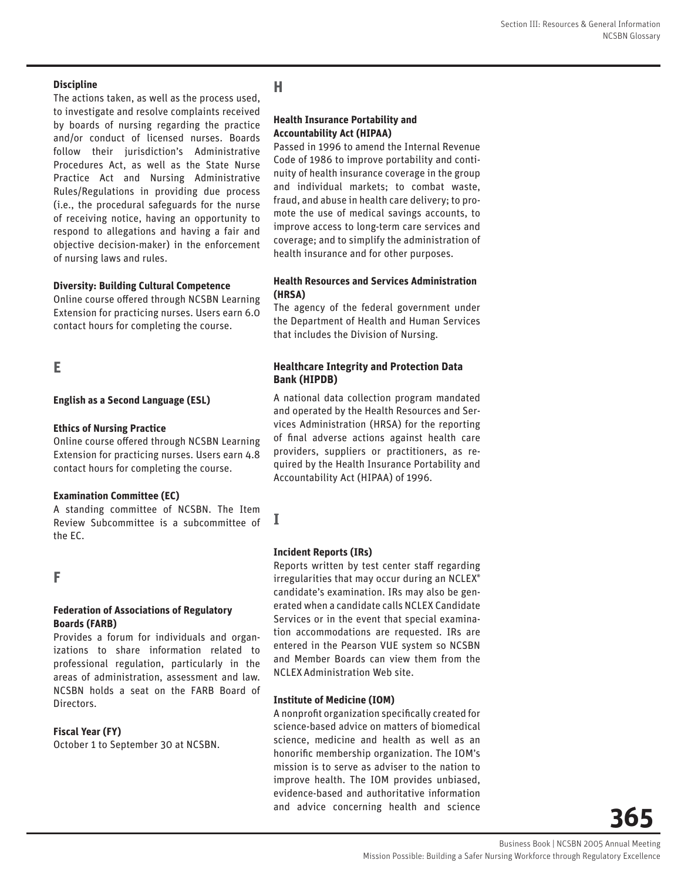#### **Discipline**

The actions taken, as well as the process used, to investigate and resolve complaints received by boards of nursing regarding the practice and/or conduct of licensed nurses. Boards follow their jurisdiction's Administrative Procedures Act, as well as the State Nurse Practice Act and Nursing Administrative Rules/Regulations in providing due process (i.e., the procedural safeguards for the nurse of receiving notice, having an opportunity to respond to allegations and having a fair and objective decision-maker) in the enforcement of nursing laws and rules.

#### **Diversity: Building Cultural Competence**

Online course offered through NCSBN Learning Extension for practicing nurses. Users earn 6.0 contact hours for completing the course.

## **E**

#### **English as a Second Language (ESL)**

#### **Ethics of Nursing Practice**

Online course offered through NCSBN Learning Extension for practicing nurses. Users earn 4.8 contact hours for completing the course.

#### **Examination Committee (EC)**

A standing committee of NCSBN. The Item Review Subcommittee is a subcommittee of the EC.

#### **F**

#### **Federation of Associations of Regulatory Boards (FARB)**

Provides a forum for individuals and organizations to share information related to professional regulation, particularly in the areas of administration, assessment and law. NCSBN holds a seat on the FARB Board of Directors.

#### **Fiscal Year (FY)**

October 1 to September 30 at NCSBN.

# **H**

#### **Health Insurance Portability and Accountability Act (HIPAA)**

Passed in 1996 to amend the Internal Revenue Code of 1986 to improve portability and continuity of health insurance coverage in the group and individual markets; to combat waste, fraud, and abuse in health care delivery; to promote the use of medical savings accounts, to improve access to long-term care services and coverage; and to simplify the administration of health insurance and for other purposes.

#### **Health Resources and Services Administration (HRSA)**

The agency of the federal government under the Department of Health and Human Services that includes the Division of Nursing.

#### **Healthcare Integrity and Protection Data Bank (HIPDB)**

A national data collection program mandated and operated by the Health Resources and Services Administration (HRSA) for the reporting of final adverse actions against health care providers, suppliers or practitioners, as required by the Health Insurance Portability and Accountability Act (HIPAA) of 1996.

#### **Incident Reports (IRs)**

**I**

Reports written by test center staff regarding irregularities that may occur during an NCLEX® candidate's examination. IRs may also be generated when a candidate calls NCLEX Candidate Services or in the event that special examination accommodations are requested. IRs are entered in the Pearson VUE system so NCSBN and Member Boards can view them from the NCLEXAdministration Web site.

#### **Institute of Medicine (IOM)**

A nonprofit organization specifically created for science-based advice on matters of biomedical science, medicine and health as well as an honorific membership organization. The IOM's mission is to serve as adviser to the nation to improve health. The IOM provides unbiased, evidence-based and authoritative information and advice concerning health and science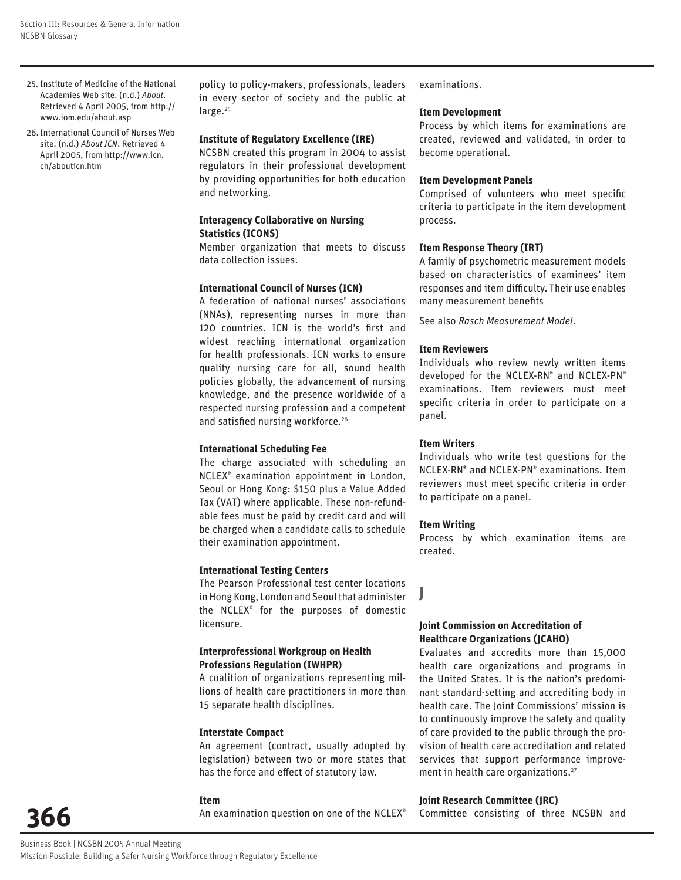- 25. Institute of Medicine of the National Academies Web site. (n.d.) *About*. Retrieved 4 April 2005, from http:// www.iom.edu/about.asp
- 26. International Council of Nurses Web site. (n.d.) *About ICN*. Retrieved 4 April 2005, from http://www.icn. ch/abouticn.htm

policy to policy-makers, professionals, leaders in every sector of society and the public at large.<sup>25</sup>

#### **Institute of Regulatory Excellence (IRE)**

NCSBN created this program in 2004 to assist regulators in their professional development by providing opportunities for both education and networking.

#### **Interagency Collaborative on Nursing Statistics (ICONS)**

Member organization that meets to discuss data collection issues.

#### **International Council of Nurses (ICN)**

A federation of national nurses' associations (NNAs), representing nurses in more than 120 countries. ICN is the world's first and widest reaching international organization for health professionals. ICN works to ensure quality nursing care for all, sound health policies globally, the advancement of nursing knowledge, and the presence worldwide of a respected nursing profession and a competent and satisfied nursing workforce.<sup>26</sup>

#### **International Scheduling Fee**

The charge associated with scheduling an NCLEX® examination appointment in London, Seoul or Hong Kong: \$150 plus a Value Added Tax (VAT) where applicable. These non-refundable fees must be paid by credit card and will be charged when a candidate calls to schedule their examination appointment.

#### **International Testing Centers**

The Pearson Professional test center locations in Hong Kong, London and Seoul that administer the NCLEX® for the purposes of domestic licensure.

#### **Interprofessional Workgroup on Health Professions Regulation (IWHPR)**

A coalition of organizations representing millions of health care practitioners in more than 15 separate health disciplines.

#### **Interstate Compact**

An agreement (contract, usually adopted by legislation) between two or more states that has the force and effect of statutory law.

#### **Item**

An examination question on one of the NCLEX®

examinations.

#### **Item Development**

Process by which items for examinations are created, reviewed and validated, in order to become operational.

#### **Item Development Panels**

Comprised of volunteers who meet specific criteria to participate in the item development process.

#### **Item Response Theory (IRT)**

A family of psychometric measurement models based on characteristics of examinees' item responses and item difficulty. Their use enables many measurement benefits

See also *Rasch Measurement Model*.

#### **Item Reviewers**

Individuals who review newly written items developed for the NCLEX-RN® and NCLEX-PN® examinations. Item reviewers must meet specific criteria in order to participate on a panel.

#### **Item Writers**

Individuals who write test questions for the NCLEX-RN® and NCLEX-PN® examinations. Item reviewers must meet specific criteria in order to participate on a panel.

#### **Item Writing**

**J**

Process by which examination items are created.

#### **Joint Commission on Accreditation of Healthcare Organizations (JCAHO)**

Evaluates and accredits more than 15,000 health care organizations and programs in the United States. It is the nation's predominant standard-setting and accrediting body in health care. The Joint Commissions' mission is to continuously improve the safety and quality of care provided to the public through the provision of health care accreditation and related services that support performance improvement in health care organizations.<sup>27</sup>

#### **Joint Research Committee (JRC)**

Committee consisting of three NCSBN and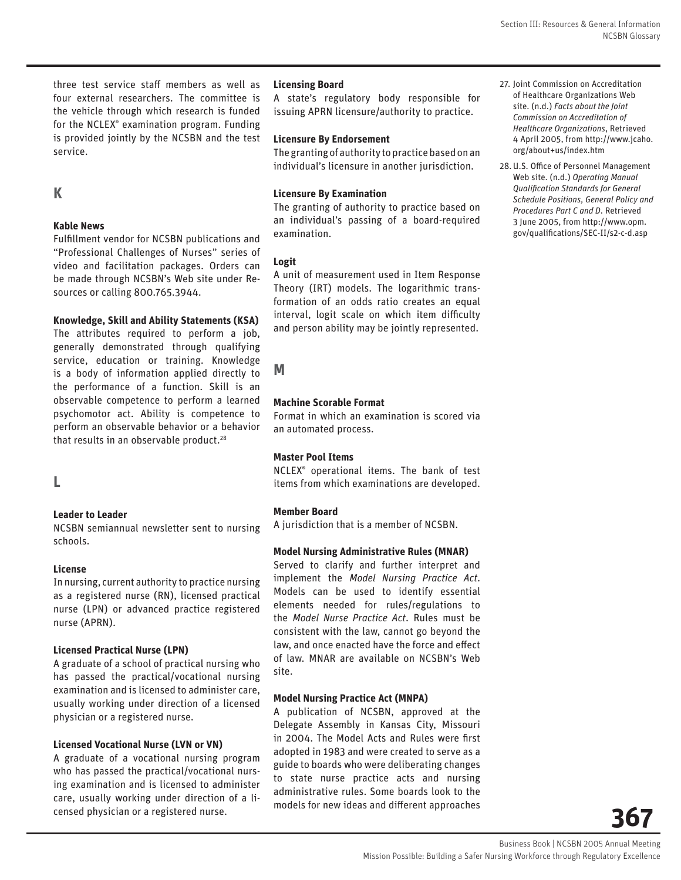three test service staff members as well as four external researchers. The committee is the vehicle through which research is funded for the NCLEX® examination program. Funding is provided jointly by the NCSBN and the test service.

## **K**

#### **Kable News**

Fulfillment vendor for NCSBN publications and "Professional Challenges of Nurses" series of video and facilitation packages. Orders can be made through NCSBN's Web site under Resources or calling 800.765.3944.

#### **Knowledge, Skill and Ability Statements (KSA)**

The attributes required to perform a job, generally demonstrated through qualifying service, education or training. Knowledge is a body of information applied directly to the performance of a function. Skill is an observable competence to perform a learned psychomotor act. Ability is competence to perform an observable behavior or a behavior that results in an observable product.<sup>28</sup>

#### **L**

#### **Leader to Leader**

NCSBN semiannual newsletter sent to nursing schools.

#### **License**

In nursing, current authority to practice nursing as a registered nurse (RN), licensed practical nurse (LPN) or advanced practice registered nurse (APRN).

#### **Licensed Practical Nurse (LPN)**

A graduate of a school of practical nursing who has passed the practical/vocational nursing examination and is licensed to administer care, usually working under direction of a licensed physician or a registered nurse.

#### **Licensed Vocational Nurse (LVN or VN)**

A graduate of a vocational nursing program who has passed the practical/vocational nursing examination and is licensed to administer care, usually working under direction of a licensed physician or a registered nurse.

#### **Licensing Board**

A state's regulatory body responsible for issuing APRN licensure/authority to practice.

#### **Licensure By Endorsement**

The granting of authority to practice based on an individual's licensure in another jurisdiction.

#### **Licensure By Examination**

The granting of authority to practice based on an individual's passing of a board-required examination.

#### **Logit**

A unit of measurement used in Item Response Theory (IRT) models. The logarithmic transformation of an odds ratio creates an equal interval, logit scale on which item difficulty and person ability may be jointly represented.

## **M**

#### **Machine Scorable Format**

Format in which an examination is scored via an automated process.

#### **Master Pool Items**

NCLEX® operational items. The bank of test items from which examinations are developed.

#### **Member Board**

A jurisdiction that is a member of NCSBN.

#### **Model Nursing Administrative Rules (MNAR)**

Served to clarify and further interpret and implement the *Model Nursing Practice Act*. Models can be used to identify essential elements needed for rules/regulations to the *Model Nurse Practice Act*. Rules must be consistent with the law, cannot go beyond the law, and once enacted have the force and effect of law. MNAR are available on NCSBN's Web site.

#### **Model Nursing Practice Act (MNPA)**

A publication of NCSBN, approved at the Delegate Assembly in Kansas City, Missouri in 2004. The Model Acts and Rules were first adopted in 1983 and were created to serve as a guide to boards who were deliberating changes to state nurse practice acts and nursing administrative rules. Some boards look to the models for new ideas and different approaches

- 27. Joint Commission on Accreditation of Healthcare Organizations Web site. (n.d.) *Facts about the Joint Commission on Accreditation of Healthcare Organizations*, Retrieved 4 April 2005, from http://www.jcaho. org/about+us/index.htm
- 28. U.S. Office of Personnel Management Web site. (n.d.) *Operating Manual Qualifi cation Standards for General Schedule Positions, General Policy and Procedures Part C and D*. Retrieved 3 June 2005, from http://www.opm. gov/qualifications/SEC-II/s2-c-d.asp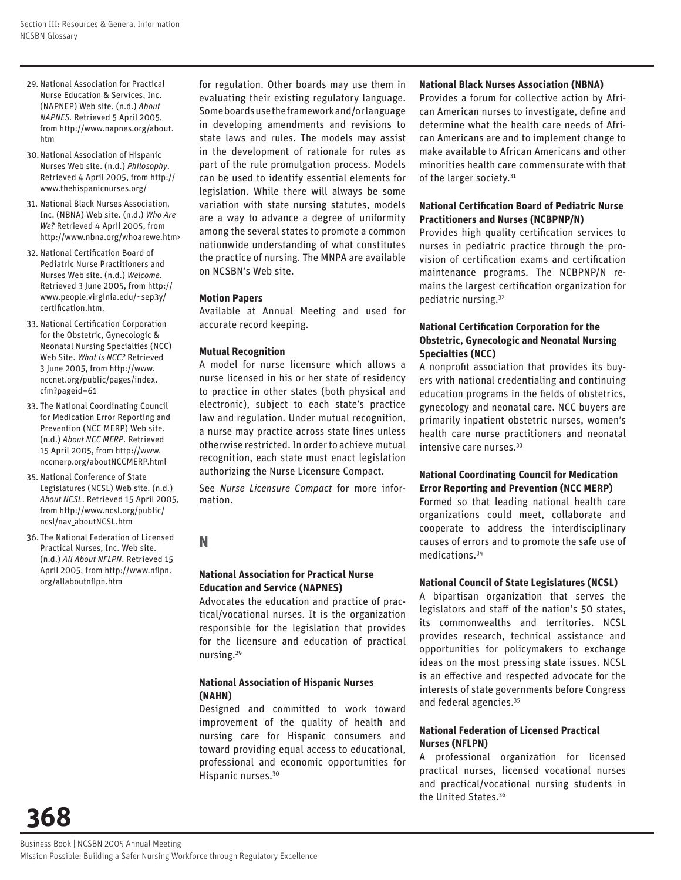- 29. National Association for Practical Nurse Education & Services, Inc. (NAPNEP) Web site. (n.d.) *About NAPNES*. Retrieved 5 April 2005, from http://www.napnes.org/about. htm
- 30. National Association of Hispanic Nurses Web site. (n.d.) *Philosophy*. Retrieved 4 April 2005, from http:// www.thehispanicnurses.org/
- 31. National Black Nurses Association, Inc. (NBNA) Web site. (n.d.) *Who Are We?* Retrieved 4 April 2005, from http://www.nbna.org/whoarewe.htm>
- 32. National Certification Board of Pediatric Nurse Practitioners and Nurses Web site. (n.d.) *Welcome*. Retrieved 3 June 2005, from http:// www.people.virginia.edu/~sep3y/ certification.htm.
- 33. National Certification Corporation for the Obstetric, Gynecologic & Neonatal Nursing Specialties (NCC) Web Site. *What is NCC?* Retrieved 3 June 2005, from http://www. nccnet.org/public/pages/index. cfm?pageid=61
- 33. The National Coordinating Council for Medication Error Reporting and Prevention (NCC MERP) Web site. (n.d.) *About NCC MERP*. Retrieved 15 April 2005, from http://www. nccmerp.org/aboutNCCMERP.html
- 35. National Conference of State Legislatures (NCSL) Web site. (n.d.) *About NCSL*. Retrieved 15 April 2005, from http://www.ncsl.org/public/ ncsl/nav\_aboutNCSL.htm
- 36. The National Federation of Licensed Practical Nurses, Inc. Web site. (n.d.) *All About NFLPN*. Retrieved 15 April 2005, from http://www.nflpn. org/allaboutnflpn.htm

for regulation. Other boards may use them in evaluating their existing regulatory language. Some boards use the framework and/or language in developing amendments and revisions to state laws and rules. The models may assist in the development of rationale for rules as part of the rule promulgation process. Models can be used to identify essential elements for legislation. While there will always be some variation with state nursing statutes, models are a way to advance a degree of uniformity among the several states to promote a common nationwide understanding of what constitutes the practice of nursing. The MNPA are available on NCSBN's Web site.

#### **Motion Papers**

Available at Annual Meeting and used for accurate record keeping.

#### **Mutual Recognition**

A model for nurse licensure which allows a nurse licensed in his or her state of residency to practice in other states (both physical and electronic), subject to each state's practice law and regulation. Under mutual recognition, a nurse may practice across state lines unless otherwise restricted. In order to achieve mutual recognition, each state must enact legislation authorizing the Nurse Licensure Compact.

See *Nurse Licensure Compact* for more information.

## **N**

#### **National Association for Practical Nurse Education and Service (NAPNES)**

Advocates the education and practice of practical/vocational nurses. It is the organization responsible for the legislation that provides for the licensure and education of practical nursing.29

#### **National Association of Hispanic Nurses (NAHN)**

Designed and committed to work toward improvement of the quality of health and nursing care for Hispanic consumers and toward providing equal access to educational, professional and economic opportunities for Hispanic nurses.30

#### **National Black Nurses Association (NBNA)**

Provides a forum for collective action by African American nurses to investigate, define and determine what the health care needs of African Americans are and to implement change to make available to African Americans and other minorities health care commensurate with that of the larger society.<sup>31</sup>

#### **National Certification Board of Pediatric Nurse Practitioners and Nurses (NCBPNP/N)**

Provides high quality certification services to nurses in pediatric practice through the provision of certification exams and certification maintenance programs. The NCBPNP/N remains the largest certification organization for pediatric nursing.32

#### **National Certification Corporation for the Obstetric, Gynecologic and Neonatal Nursing Specialties (NCC)**

A nonprofit association that provides its buyers with national credentialing and continuing education programs in the fields of obstetrics, gynecology and neonatal care. NCC buyers are primarily inpatient obstetric nurses, women's health care nurse practitioners and neonatal intensive care nurses.<sup>33</sup>

#### **National Coordinating Council for Medication Error Reporting and Prevention (NCC MERP)**

Formed so that leading national health care organizations could meet, collaborate and cooperate to address the interdisciplinary causes of errors and to promote the safe use of medications.34

#### **National Council of State Legislatures (NCSL)**

A bipartisan organization that serves the legislators and staff of the nation's 50 states, its commonwealths and territories. NCSL provides research, technical assistance and opportunities for policymakers to exchange ideas on the most pressing state issues. NCSL is an effective and respected advocate for the interests of state governments before Congress and federal agencies.35

#### **National Federation of Licensed Practical Nurses (NFLPN)**

A professional organization for licensed practical nurses, licensed vocational nurses and practical/vocational nursing students in the United States.36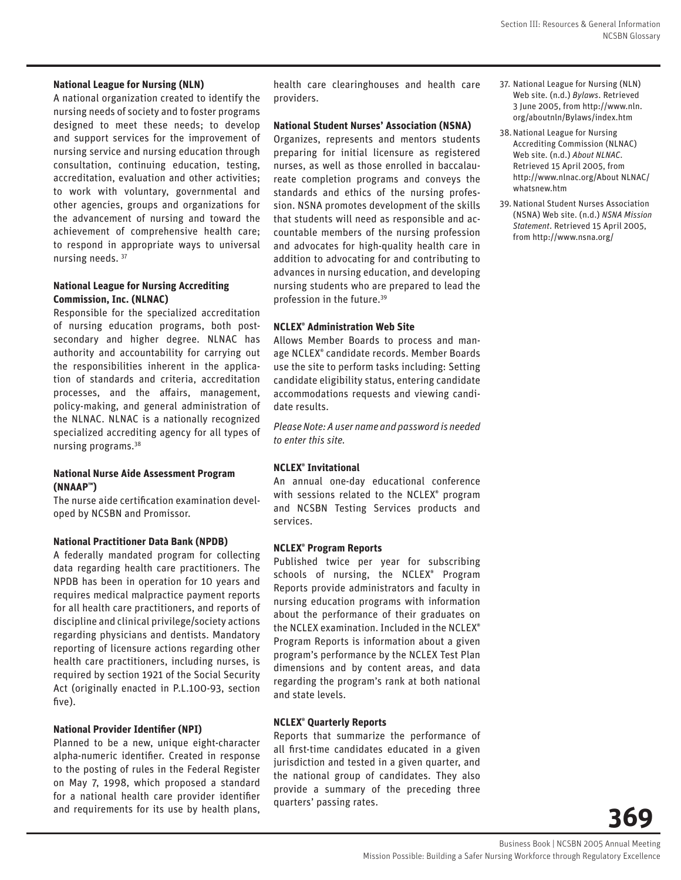#### **National League for Nursing (NLN)**

A national organization created to identify the nursing needs of society and to foster programs designed to meet these needs; to develop and support services for the improvement of nursing service and nursing education through consultation, continuing education, testing, accreditation, evaluation and other activities; to work with voluntary, governmental and other agencies, groups and organizations for the advancement of nursing and toward the achievement of comprehensive health care; to respond in appropriate ways to universal nursing needs. 37

#### **National League for Nursing Accrediting Commission, Inc. (NLNAC)**

Responsible for the specialized accreditation of nursing education programs, both postsecondary and higher degree. NLNAC has authority and accountability for carrying out the responsibilities inherent in the application of standards and criteria, accreditation processes, and the affairs, management, policy-making, and general administration of the NLNAC. NLNAC is a nationally recognized specialized accrediting agency for all types of nursing programs.38

#### **National Nurse Aide Assessment Program (NNAAP™)**

The nurse aide certification examination developed by NCSBN and Promissor.

#### **National Practitioner Data Bank (NPDB)**

A federally mandated program for collecting data regarding health care practitioners. The NPDB has been in operation for 10 years and requires medical malpractice payment reports for all health care practitioners, and reports of discipline and clinical privilege/society actions regarding physicians and dentists. Mandatory reporting of licensure actions regarding other health care practitioners, including nurses, is required by section 1921 of the Social Security Act (originally enacted in P.L.100-93, section five).

#### **National Provider Identifier (NPI)**

Planned to be a new, unique eight-character alpha-numeric identifier. Created in response to the posting of rules in the Federal Register on May 7, 1998, which proposed a standard for a national health care provider identifier and requirements for its use by health plans,

health care clearinghouses and health care providers.

#### **National Student Nurses' Association (NSNA)**

Organizes, represents and mentors students preparing for initial licensure as registered nurses, as well as those enrolled in baccalaureate completion programs and conveys the standards and ethics of the nursing profession. NSNA promotes development of the skills that students will need as responsible and accountable members of the nursing profession and advocates for high-quality health care in addition to advocating for and contributing to advances in nursing education, and developing nursing students who are prepared to lead the profession in the future.39

#### **NCLEX® Administration Web Site**

Allows Member Boards to process and manage NCLEX® candidate records. Member Boards use the site to perform tasks including: Setting candidate eligibility status, entering candidate accommodations requests and viewing candidate results.

*Please Note: A user name and password is needed to enter this site.*

#### **NCLEX® Invitational**

An annual one-day educational conference with sessions related to the NCLEX® program and NCSBN Testing Services products and services.

#### **NCLEX® Program Reports**

Published twice per year for subscribing schools of nursing, the NCLEX® Program Reports provide administrators and faculty in nursing education programs with information about the performance of their graduates on the NCLEX examination. Included in the NCLEX® Program Reports is information about a given program's performance by the NCLEX Test Plan dimensions and by content areas, and data regarding the program's rank at both national and state levels.

#### **NCLEX® Quarterly Reports**

Reports that summarize the performance of all first-time candidates educated in a given jurisdiction and tested in a given quarter, and the national group of candidates. They also provide a summary of the preceding three quarters' passing rates.

- 37. National League for Nursing (NLN) Web site. (n.d.) *Bylaws*. Retrieved 3 June 2005, from http://www.nln. org/aboutnln/Bylaws/index.htm
- 38. National League for Nursing Accrediting Commission (NLNAC) Web site. (n.d.) *About NLNAC*. Retrieved 15 April 2005, from http://www.nlnac.org/About NLNAC/ whatsnew.htm
- 39. National Student Nurses Association (NSNA) Web site. (n.d.) *NSNA Mission Statement*. Retrieved 15 April 2005, from http://www.nsna.org/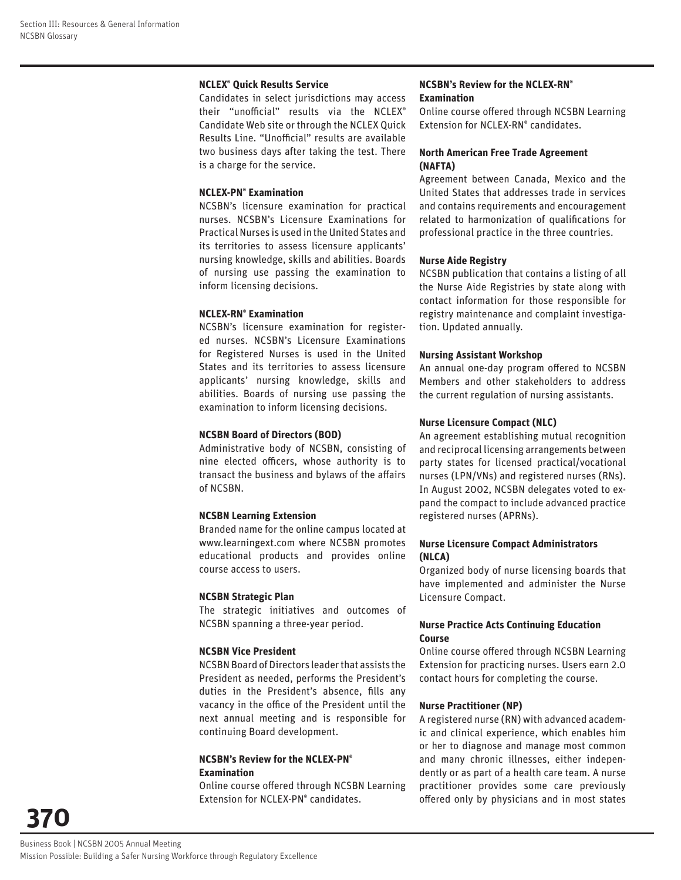#### **NCLEX® Quick Results Service**

Candidates in select jurisdictions may access their "unofficial" results via the NCLEX® Candidate Web site or through the NCLEX Quick Results Line. "Unofficial" results are available two business days after taking the test. There is a charge for the service.

#### **NCLEX-PN® Examination**

NCSBN's licensure examination for practical nurses. NCSBN's Licensure Examinations for Practical Nurses is used in the United States and its territories to assess licensure applicants' nursing knowledge, skills and abilities. Boards of nursing use passing the examination to inform licensing decisions.

#### **NCLEX-RN® Examination**

NCSBN's licensure examination for registered nurses. NCSBN's Licensure Examinations for Registered Nurses is used in the United States and its territories to assess licensure applicants' nursing knowledge, skills and abilities. Boards of nursing use passing the examination to inform licensing decisions.

#### **NCSBN Board of Directors (BOD)**

Administrative body of NCSBN, consisting of nine elected officers, whose authority is to transact the business and bylaws of the affairs of NCSBN.

#### **NCSBN Learning Extension**

Branded name for the online campus located at www.learningext.com where NCSBN promotes educational products and provides online course access to users.

#### **NCSBN Strategic Plan**

The strategic initiatives and outcomes of NCSBN spanning a three-year period.

#### **NCSBN Vice President**

NCSBN Board of Directors leader that assists the President as needed, performs the President's duties in the President's absence, fills any vacancy in the office of the President until the next annual meeting and is responsible for continuing Board development.

#### **NCSBN's Review for the NCLEX-PN® Examination**

Online course offered through NCSBN Learning Extension for NCLEX-PN® candidates.

#### **NCSBN's Review for the NCLEX-RN® Examination**

Online course offered through NCSBN Learning Extension for NCLEX-RN® candidates.

#### **North American Free Trade Agreement (NAFTA)**

Agreement between Canada, Mexico and the United States that addresses trade in services and contains requirements and encouragement related to harmonization of qualifications for professional practice in the three countries.

#### **Nurse Aide Registry**

NCSBN publication that contains a listing of all the Nurse Aide Registries by state along with contact information for those responsible for registry maintenance and complaint investigation. Updated annually.

#### **Nursing Assistant Workshop**

An annual one-day program offered to NCSBN Members and other stakeholders to address the current regulation of nursing assistants.

#### **Nurse Licensure Compact (NLC)**

An agreement establishing mutual recognition and reciprocal licensing arrangements between party states for licensed practical/vocational nurses (LPN/VNs) and registered nurses (RNs). In August 2002, NCSBN delegates voted to expand the compact to include advanced practice registered nurses (APRNs).

#### **Nurse Licensure Compact Administrators (NLCA)**

Organized body of nurse licensing boards that have implemented and administer the Nurse Licensure Compact.

#### **Nurse Practice Acts Continuing Education Course**

Online course offered through NCSBN Learning Extension for practicing nurses. Users earn 2.0 contact hours for completing the course.

#### **Nurse Practitioner (NP)**

A registered nurse (RN) with advanced academic and clinical experience, which enables him or her to diagnose and manage most common and many chronic illnesses, either independently or as part of a health care team. A nurse practitioner provides some care previously offered only by physicians and in most states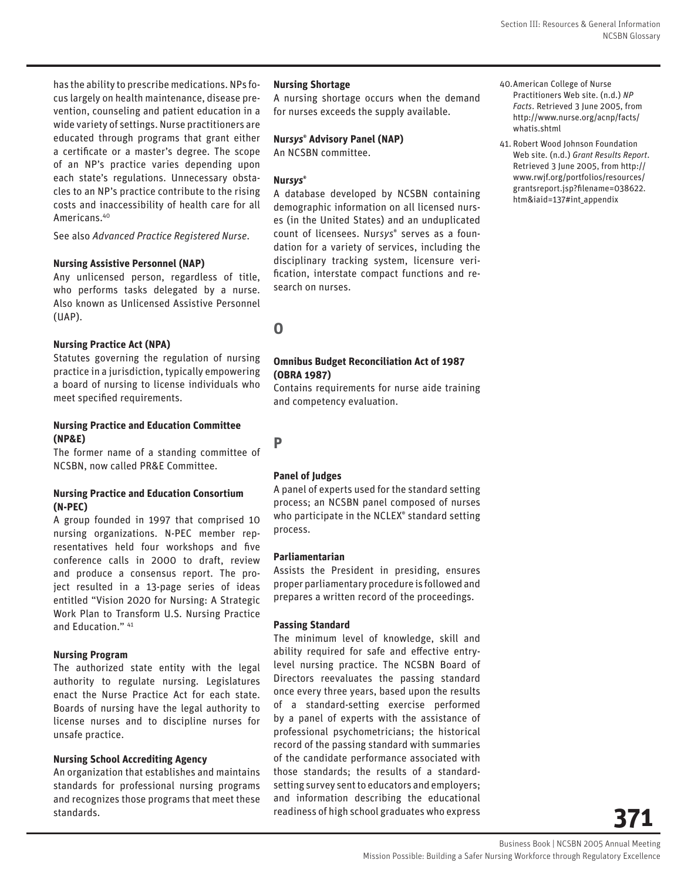has the ability to prescribe medications. NPs focus largely on health maintenance, disease prevention, counseling and patient education in a wide variety of settings. Nurse practitioners are educated through programs that grant either a certificate or a master's degree. The scope of an NP's practice varies depending upon each state's regulations. Unnecessary obstacles to an NP's practice contribute to the rising costs and inaccessibility of health care for all Americans.40

See also *Advanced Practice Registered Nurse*.

#### **Nursing Assistive Personnel (NAP)**

Any unlicensed person, regardless of title, who performs tasks delegated by a nurse. Also known as Unlicensed Assistive Personnel (UAP).

#### **Nursing Practice Act (NPA)**

Statutes governing the regulation of nursing practice in a jurisdiction, typically empowering a board of nursing to license individuals who meet specified requirements.

#### **Nursing Practice and Education Committee (NP&E)**

The former name of a standing committee of NCSBN, now called PR&E Committee.

#### **Nursing Practice and Education Consortium (N-PEC)**

A group founded in 1997 that comprised 10 nursing organizations. N-PEC member representatives held four workshops and five conference calls in 2000 to draft, review and produce a consensus report. The project resulted in a 13-page series of ideas entitled "Vision 2020 for Nursing: A Strategic Work Plan to Transform U.S. Nursing Practice and Education." 41

#### **Nursing Program**

The authorized state entity with the legal authority to regulate nursing. Legislatures enact the Nurse Practice Act for each state. Boards of nursing have the legal authority to license nurses and to discipline nurses for unsafe practice.

#### **Nursing School Accrediting Agency**

An organization that establishes and maintains standards for professional nursing programs and recognizes those programs that meet these standards.

#### **Nursing Shortage**

A nursing shortage occurs when the demand for nurses exceeds the supply available.

#### **Nur***sys***® Advisory Panel (NAP)**

An NCSBN committee.

#### **Nur***sys***®**

A database developed by NCSBN containing demographic information on all licensed nurses (in the United States) and an unduplicated count of licensees. Nur*sys*® serves as a foundation for a variety of services, including the disciplinary tracking system, licensure verification, interstate compact functions and research on nurses.

## **O**

**P**

#### **Omnibus Budget Reconciliation Act of 1987 (OBRA 1987)**

Contains requirements for nurse aide training and competency evaluation.

#### **Panel of Judges**

A panel of experts used for the standard setting process; an NCSBN panel composed of nurses who participate in the NCLEX® standard setting process.

#### **Parliamentarian**

Assists the President in presiding, ensures proper parliamentary procedure is followed and prepares a written record of the proceedings.

#### **Passing Standard**

The minimum level of knowledge, skill and ability required for safe and effective entrylevel nursing practice. The NCSBN Board of Directors reevaluates the passing standard once every three years, based upon the results of a standard-setting exercise performed by a panel of experts with the assistance of professional psychometricians; the historical record of the passing standard with summaries of the candidate performance associated with those standards; the results of a standardsetting survey sent to educators and employers; and information describing the educational readiness of high school graduates who express

41. Robert Wood Johnson Foundation Web site. (n.d.) *Grant Results Report*. Retrieved 3 June 2005, from http:// www.rwjf.org/portfolios/resources/ grantsreport.jsp?filename=038622. htm&iaid=137#int\_appendix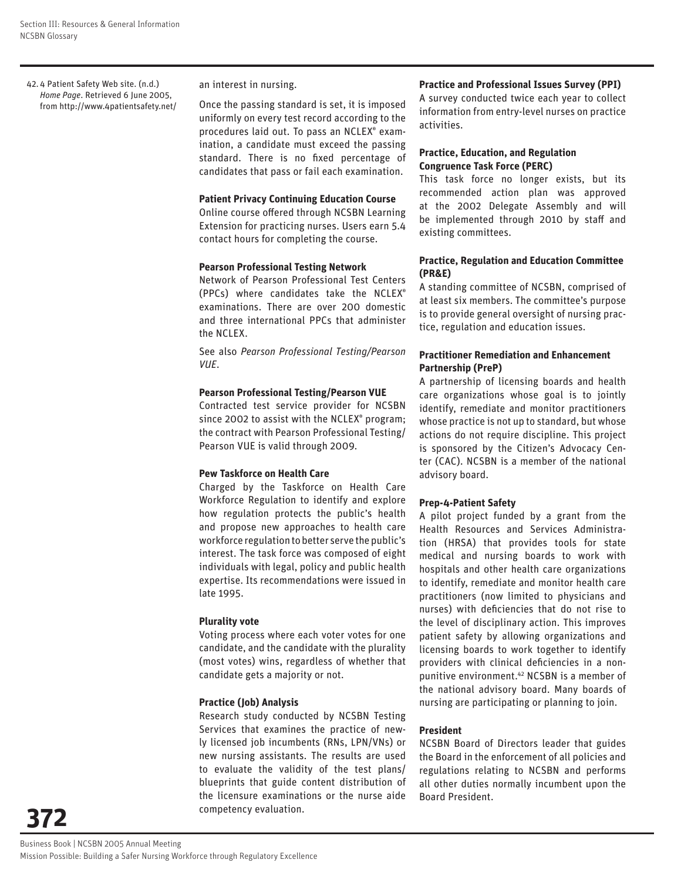42. 4 Patient Safety Web site. (n.d.) *Home Page*. Retrieved 6 June 2005, from http://www.4patientsafety.net/

#### an interest in nursing.

Once the passing standard is set, it is imposed uniformly on every test record according to the procedures laid out. To pass an NCLEX® examination, a candidate must exceed the passing standard. There is no fixed percentage of candidates that pass or fail each examination.

#### **Patient Privacy Continuing Education Course**

Online course offered through NCSBN Learning Extension for practicing nurses. Users earn 5.4 contact hours for completing the course.

#### **Pearson Professional Testing Network**

Network of Pearson Professional Test Centers (PPCs) where candidates take the NCLEX® examinations. There are over 200 domestic and three international PPCs that administer the NCLEX.

See also *Pearson Professional Testing/Pearson VUE*.

#### **Pearson Professional Testing/Pearson VUE**

Contracted test service provider for NCSBN since 2002 to assist with the NCLEX® program; the contract with Pearson Professional Testing/ Pearson VUE is valid through 2009.

#### **Pew Taskforce on Health Care**

Charged by the Taskforce on Health Care Workforce Regulation to identify and explore how regulation protects the public's health and propose new approaches to health care workforce regulation to better serve the public's interest. The task force was composed of eight individuals with legal, policy and public health expertise. Its recommendations were issued in late 1995.

#### **Plurality vote**

Voting process where each voter votes for one candidate, and the candidate with the plurality (most votes) wins, regardless of whether that candidate gets a majority or not.

#### **Practice (Job) Analysis**

Research study conducted by NCSBN Testing Services that examines the practice of newly licensed job incumbents (RNs, LPN/VNs) or new nursing assistants. The results are used to evaluate the validity of the test plans/ blueprints that guide content distribution of the licensure examinations or the nurse aide competency evaluation.

#### **Practice and Professional Issues Survey (PPI)**

A survey conducted twice each year to collect information from entry-level nurses on practice activities.

#### **Practice, Education, and Regulation Congruence Task Force (PERC)**

This task force no longer exists, but its recommended action plan was approved at the 2002 Delegate Assembly and will be implemented through 2010 by staff and existing committees.

#### **Practice, Regulation and Education Committee (PR&E)**

A standing committee of NCSBN, comprised of at least six members. The committee's purpose is to provide general oversight of nursing practice, regulation and education issues.

#### **Practitioner Remediation and Enhancement Partnership (PreP)**

A partnership of licensing boards and health care organizations whose goal is to jointly identify, remediate and monitor practitioners whose practice is not up to standard, but whose actions do not require discipline. This project is sponsored by the Citizen's Advocacy Center (CAC). NCSBN is a member of the national advisory board.

#### **Prep-4-Patient Safety**

A pilot project funded by a grant from the Health Resources and Services Administration (HRSA) that provides tools for state medical and nursing boards to work with hospitals and other health care organizations to identify, remediate and monitor health care practitioners (now limited to physicians and nurses) with deficiencies that do not rise to the level of disciplinary action. This improves patient safety by allowing organizations and licensing boards to work together to identify providers with clinical deficiencies in a nonpunitive environment.42 NCSBN is a member of the national advisory board. Many boards of nursing are participating or planning to join.

#### **President**

NCSBN Board of Directors leader that guides the Board in the enforcement of all policies and regulations relating to NCSBN and performs all other duties normally incumbent upon the Board President.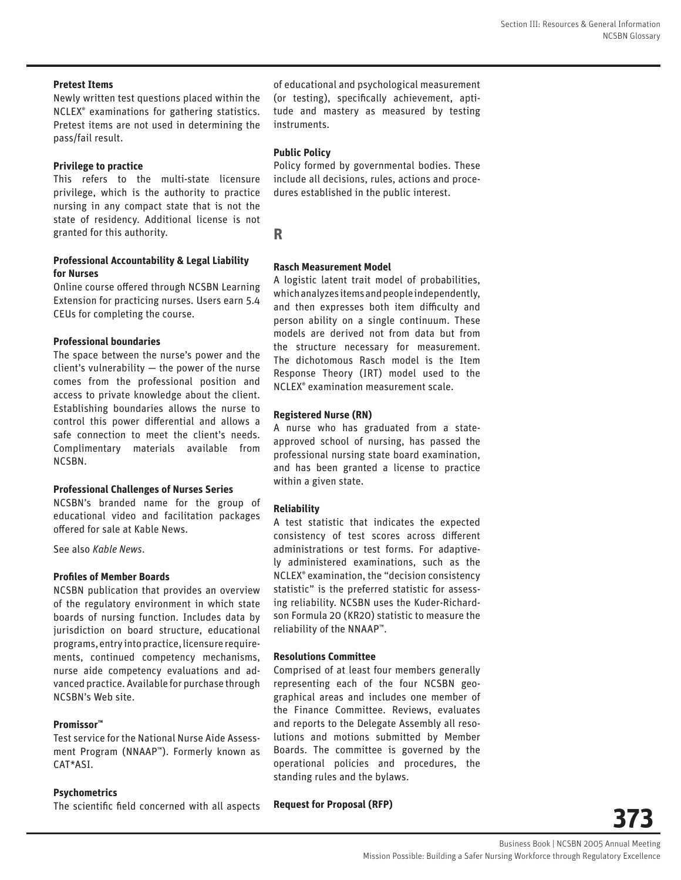#### **Pretest Items**

Newly written test questions placed within the NCLEX® examinations for gathering statistics. Pretest items are not used in determining the pass/fail result.

#### **Privilege to practice**

This refers to the multi-state licensure privilege, which is the authority to practice nursing in any compact state that is not the state of residency. Additional license is not granted for this authority.

# **Professional Accountability & Legal Liability**

## **for Nurses**

Online course offered through NCSBN Learning Extension for practicing nurses. Users earn 5.4 CEUs for completing the course.

#### **Professional boundaries**

The space between the nurse's power and the client's vulnerability — the power of the nurse comes from the professional position and access to private knowledge about the client. Establishing boundaries allows the nurse to control this power differential and allows a safe connection to meet the client's needs. Complimentary materials available from NCSBN.

#### **Professional Challenges of Nurses Series**

NCSBN's branded name for the group of educational video and facilitation packages offered for sale at Kable News.

See also *Kable News*.

#### **Profiles of Member Boards**

NCSBN publication that provides an overview of the regulatory environment in which state boards of nursing function. Includes data by jurisdiction on board structure, educational programs, entry into practice, licensure requirements, continued competency mechanisms, nurse aide competency evaluations and advanced practice. Available for purchase through NCSBN's Web site.

#### **Promissor™**

Test service for the National Nurse Aide Assessment Program (NNAAP™). Formerly known as CAT\*ASI.

#### **Psychometrics**

The scientific field concerned with all aspects

of educational and psychological measurement (or testing), specifically achievement, aptitude and mastery as measured by testing instruments.

#### **Public Policy**

Policy formed by governmental bodies. These include all decisions, rules, actions and procedures established in the public interest.

**R**

#### **Rasch Measurement Model**

A logistic latent trait model of probabilities, which analyzes items and people independently, and then expresses both item difficulty and person ability on a single continuum. These models are derived not from data but from the structure necessary for measurement. The dichotomous Rasch model is the Item Response Theory (IRT) model used to the NCLEX® examination measurement scale.

#### **Registered Nurse (RN)**

A nurse who has graduated from a stateapproved school of nursing, has passed the professional nursing state board examination, and has been granted a license to practice within a given state.

#### **Reliability**

A test statistic that indicates the expected consistency of test scores across different administrations or test forms. For adaptively administered examinations, such as the NCLEX® examination, the "decision consistency statistic" is the preferred statistic for assessing reliability. NCSBN uses the Kuder-Richardson Formula 20 (KR20) statistic to measure the reliability of the NNAAP™.

#### **Resolutions Committee**

Comprised of at least four members generally representing each of the four NCSBN geographical areas and includes one member of the Finance Committee. Reviews, evaluates and reports to the Delegate Assembly all resolutions and motions submitted by Member Boards. The committee is governed by the operational policies and procedures, the standing rules and the bylaws.

**Request for Proposal (RFP)**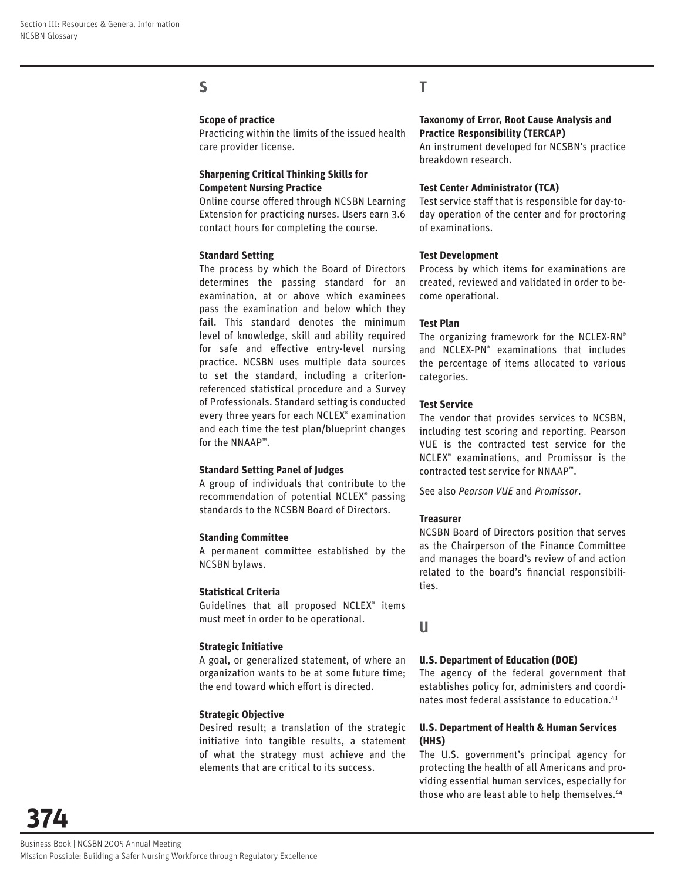## **S**

#### **Scope of practice**

Practicing within the limits of the issued health care provider license.

#### **Sharpening Critical Thinking Skills for Competent Nursing Practice**

Online course offered through NCSBN Learning Extension for practicing nurses. Users earn 3.6 contact hours for completing the course.

#### **Standard Setting**

The process by which the Board of Directors determines the passing standard for an examination, at or above which examinees pass the examination and below which they fail. This standard denotes the minimum level of knowledge, skill and ability required for safe and effective entry-level nursing practice. NCSBN uses multiple data sources to set the standard, including a criterionreferenced statistical procedure and a Survey of Professionals. Standard setting is conducted every three years for each NCLEX® examination and each time the test plan/blueprint changes for the NNAAP™.

#### **Standard Setting Panel of Judges**

A group of individuals that contribute to the recommendation of potential NCLEX® passing standards to the NCSBN Board of Directors.

#### **Standing Committee**

A permanent committee established by the NCSBN bylaws.

#### **Statistical Criteria**

Guidelines that all proposed NCLEX® items must meet in order to be operational.

#### **Strategic Initiative**

A goal, or generalized statement, of where an organization wants to be at some future time; the end toward which effort is directed.

#### **Strategic Objective**

Desired result; a translation of the strategic initiative into tangible results, a statement of what the strategy must achieve and the elements that are critical to its success.

## **T**

#### **Taxonomy of Error, Root Cause Analysis and Practice Responsibility (TERCAP)**

An instrument developed for NCSBN's practice breakdown research.

#### **Test Center Administrator (TCA)**

Test service staff that is responsible for day-today operation of the center and for proctoring of examinations.

#### **Test Development**

Process by which items for examinations are created, reviewed and validated in order to become operational.

#### **Test Plan**

The organizing framework for the NCLEX-RN® and NCLEX-PN® examinations that includes the percentage of items allocated to various categories.

#### **Test Service**

The vendor that provides services to NCSBN, including test scoring and reporting. Pearson VUE is the contracted test service for the NCLEX® examinations, and Promissor is the contracted test service for NNAAP™.

See also *Pearson VUE* and *Promissor*.

#### **Treasurer**

NCSBN Board of Directors position that serves as the Chairperson of the Finance Committee and manages the board's review of and action related to the board's financial responsibilities.

**U**

#### **U.S. Department of Education (DOE)**

The agency of the federal government that establishes policy for, administers and coordinates most federal assistance to education.43

#### **U.S. Department of Health & Human Services (HHS)**

The U.S. government's principal agency for protecting the health of all Americans and providing essential human services, especially for those who are least able to help themselves.<sup>44</sup>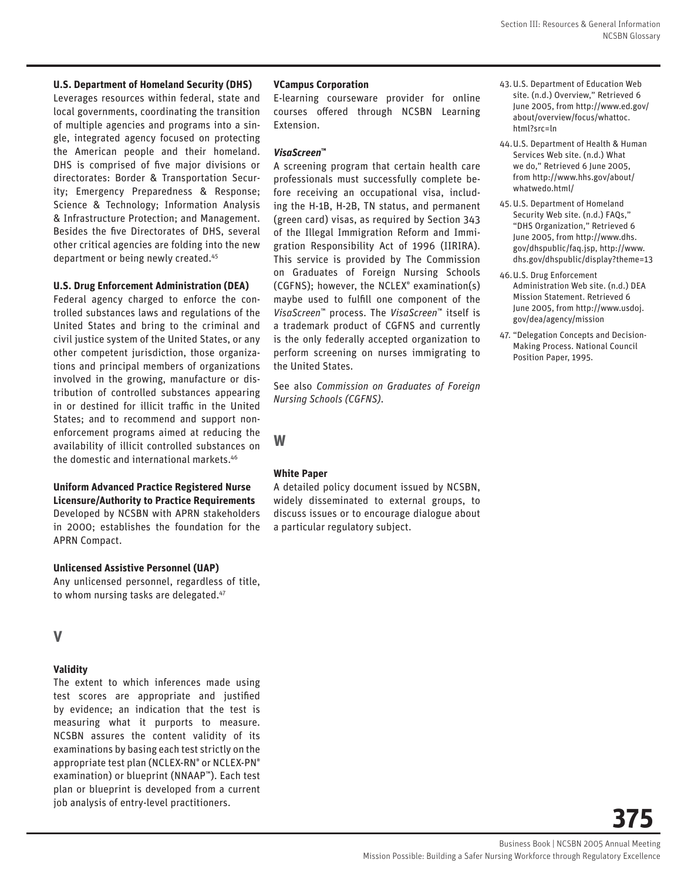#### **U.S. Department of Homeland Security (DHS)**

Leverages resources within federal, state and local governments, coordinating the transition of multiple agencies and programs into a single, integrated agency focused on protecting the American people and their homeland. DHS is comprised of five major divisions or directorates: Border & Transportation Security; Emergency Preparedness & Response; Science & Technology; Information Analysis & Infrastructure Protection; and Management. Besides the five Directorates of DHS, several other critical agencies are folding into the new department or being newly created.45

#### **U.S. Drug Enforcement Administration (DEA)**

Federal agency charged to enforce the controlled substances laws and regulations of the United States and bring to the criminal and civil justice system of the United States, or any other competent jurisdiction, those organizations and principal members of organizations involved in the growing, manufacture or distribution of controlled substances appearing in or destined for illicit traffic in the United States; and to recommend and support nonenforcement programs aimed at reducing the availability of illicit controlled substances on the domestic and international markets.46

#### **Uniform Advanced Practice Registered Nurse Licensure/Authority to Practice Requirements** Developed by NCSBN with APRN stakeholders in 2000; establishes the foundation for the

**Unlicensed Assistive Personnel (UAP)**

Any unlicensed personnel, regardless of title, to whom nursing tasks are delegated.47

#### **V**

#### **Validity**

APRN Compact.

The extent to which inferences made using test scores are appropriate and justified by evidence; an indication that the test is measuring what it purports to measure. NCSBN assures the content validity of its examinations by basing each test strictly on the appropriate test plan (NCLEX-RN® or NCLEX-PN® examination) or blueprint (NNAAP™). Each test plan or blueprint is developed from a current job analysis of entry-level practitioners.

#### **VCampus Corporation**

E-learning courseware provider for online courses offered through NCSBN Learning Extension.

#### *VisaScreen***™**

A screening program that certain health care professionals must successfully complete before receiving an occupational visa, including the H-1B, H-2B, TN status, and permanent (green card) visas, as required by Section 343 of the Illegal Immigration Reform and Immigration Responsibility Act of 1996 (IIRIRA). This service is provided by The Commission on Graduates of Foreign Nursing Schools (CGFNS); however, the NCLEX® examination(s) maybe used to fulfill one component of the *VisaScreen*™ process. The *VisaScreen*™ itself is a trademark product of CGFNS and currently is the only federally accepted organization to perform screening on nurses immigrating to the United States.

See also *Commission on Graduates of Foreign Nursing Schools (CGFNS)*.

**W**

#### **White Paper**

A detailed policy document issued by NCSBN, widely disseminated to external groups, to discuss issues or to encourage dialogue about a particular regulatory subject.

- 43. U.S. Department of Education Web site. (n.d.) Overview," Retrieved 6 June 2005, from http://www.ed.gov/ about/overview/focus/whattoc. html?src=ln
- 44. U.S. Department of Health & Human Services Web site. (n.d.) What we do," Retrieved 6 June 2005, from http://www.hhs.gov/about/ whatwedo.html/
- 45. U.S. Department of Homeland Security Web site. (n.d.) FAQs," "DHS Organization," Retrieved 6 June 2005, from http://www.dhs. gov/dhspublic/faq.jsp, http://www. dhs.gov/dhspublic/display?theme=13
- 46. U.S. Drug Enforcement Administration Web site. (n.d.) DEA Mission Statement. Retrieved 6 June 2005, from http://www.usdoj. gov/dea/agency/mission
- 47. "Delegation Concepts and Decision-Making Process. National Council Position Paper, 1995.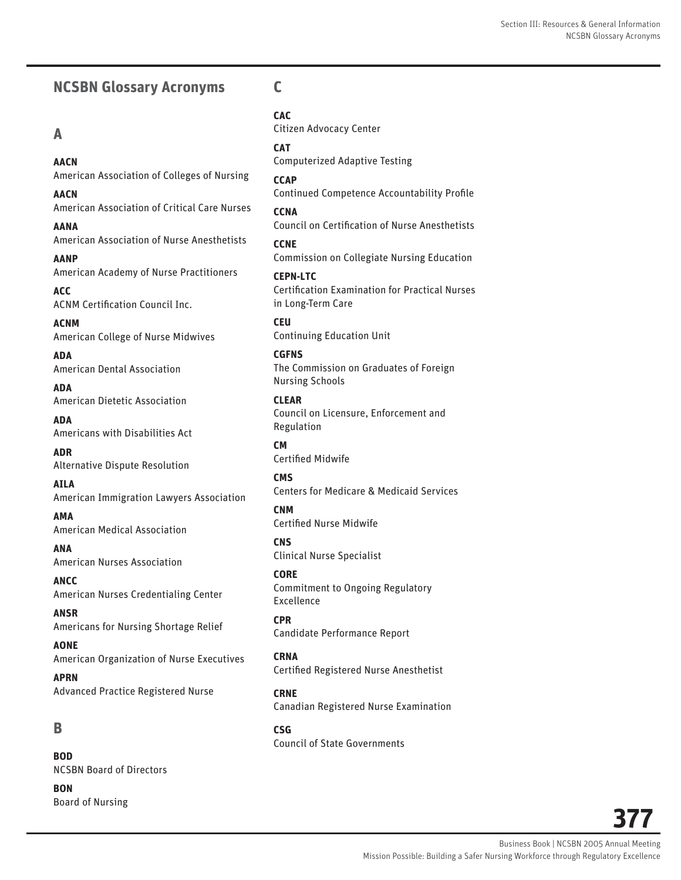# **NCSBN Glossary Acronyms**

## **A**

**AACN**  American Association of Colleges of Nursing

**AACN** American Association of Critical Care Nurses

**AANA** American Association of Nurse Anesthetists

**AANP** American Academy of Nurse Practitioners

**ACC** ACNM Certification Council Inc.

**ACNM** American College of Nurse Midwives

**ADA** American Dental Association

**ADA** American Dietetic Association

**ADA** Americans with Disabilities Act

**ADR** Alternative Dispute Resolution

**AILA** American Immigration Lawyers Association

**AMA** American Medical Association

**ANA** American Nurses Association

**ANCC** American Nurses Credentialing Center

**ANSR** Americans for Nursing Shortage Relief

**AONE** American Organization of Nurse Executives

**APRN** Advanced Practice Registered Nurse

## **B**

**BOD** NCSBN Board of Directors

**BON** Board of Nursing

## **C**

**CAC** Citizen Advocacy Center

**CAT** Computerized Adaptive Testing

**CCAP** Continued Competence Accountability Profile

**CCNA** Council on Certification of Nurse Anesthetists

**CCNE** Commission on Collegiate Nursing Education

**CEPN-LTC** Certification Examination for Practical Nurses in Long-Term Care

**CEU** Continuing Education Unit

**CGFNS** The Commission on Graduates of Foreign Nursing Schools

**CLEAR** Council on Licensure, Enforcement and Regulation

**CM** Certified Midwife

**CMS** Centers for Medicare & Medicaid Services

**CNM** Certified Nurse Midwife

**CNS** Clinical Nurse Specialist

**CORE** Commitment to Ongoing Regulatory Excellence

**CPR** Candidate Performance Report

**CRNA** Certified Registered Nurse Anesthetist

**CRNE** Canadian Registered Nurse Examination

**CSG** Council of State Governments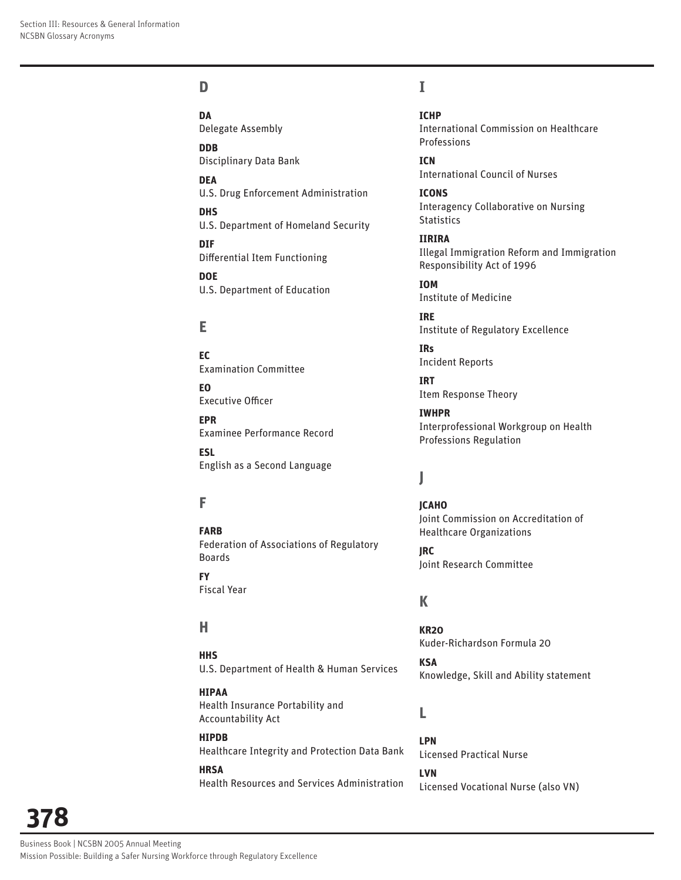# **D**

**DA** Delegate Assembly

**DDB**  Disciplinary Data Bank

**DEA**  U.S. Drug Enforcement Administration

**DHS**  U.S. Department of Homeland Security

**DIF**  Differential Item Functioning

**DOE**  U.S. Department of Education

# **E**

**EC** Examination Committee

**EO**  Executive Officer

**EPR** Examinee Performance Record **ESL** 

English as a Second Language

# **F**

**FARB** Federation of Associations of Regulatory Boards

**FY**  Fiscal Year

# **H**

**HHS** U.S. Department of Health & Human Services

**HIPAA** Health Insurance Portability and Accountability Act

**HIPDB** Healthcare Integrity and Protection Data Bank

**HRSA** Health Resources and Services Administration

## **I**

**ICHP** International Commission on Healthcare Professions

**ICN**  International Council of Nurses

**ICONS** Interagency Collaborative on Nursing **Statistics** 

**IIRIRA** Illegal Immigration Reform and Immigration Responsibility Act of 1996

**IOM**  Institute of Medicine

**IRE** Institute of Regulatory Excellence

**IRs** Incident Reports

**IRT**  Item Response Theory

**IWHPR**  Interprofessional Workgroup on Health Professions Regulation

# **J**

**JCAHO** Joint Commission on Accreditation of Healthcare Organizations

**JRC** Joint Research Committee

# **K**

**KR20** Kuder-Richardson Formula 20

**KSA**  Knowledge, Skill and Ability statement

## **L**

**LPN** Licensed Practical Nurse **LVN** Licensed Vocational Nurse (also VN)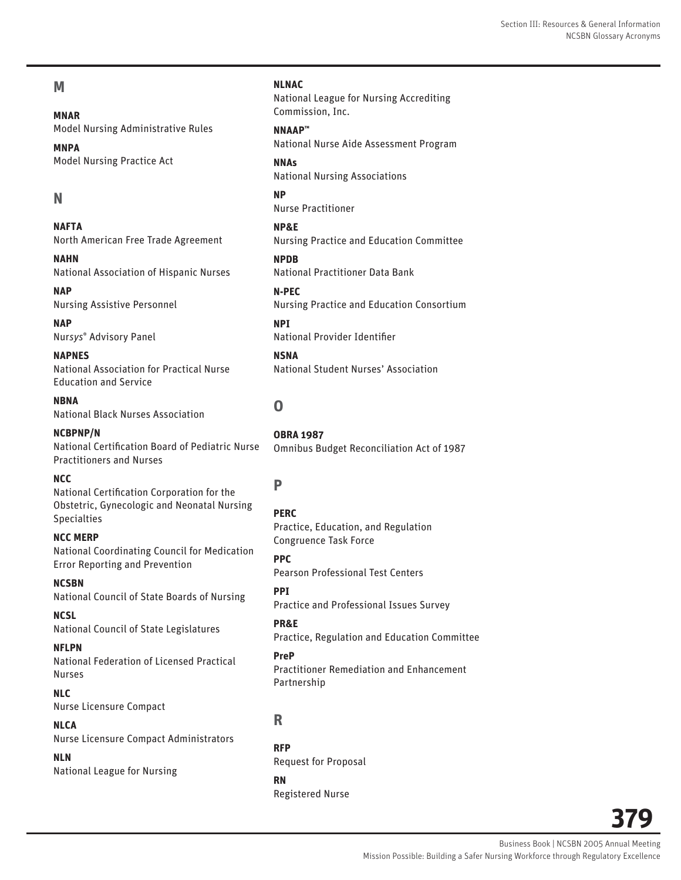#### Section III: Resources & General Information NCSBN Glossary Acronyms

## **M**

**MNAR**  Model Nursing Administrative Rules

**MNPA** Model Nursing Practice Act

## **N**

**NAFTA** North American Free Trade Agreement

**NAHN** National Association of Hispanic Nurses

**NAP**  Nursing Assistive Personnel

**NAP**  Nur*sys*® Advisory Panel

**NAPNES** National Association for Practical Nurse Education and Service

**NBNA**  National Black Nurses Association

**NCBPNP/N** National Certification Board of Pediatric Nurse Practitioners and Nurses

#### **NCC**

National Certification Corporation for the Obstetric, Gynecologic and Neonatal Nursing Specialties

**NCC MERP** National Coordinating Council for Medication Error Reporting and Prevention

**NCSBN** National Council of State Boards of Nursing

**NCSL** National Council of State Legislatures

**NFLPN**  National Federation of Licensed Practical Nurses

**NLC** Nurse Licensure Compact

**NLCA** Nurse Licensure Compact Administrators

**NLN**  National League for Nursing

#### **NLNAC**

National League for Nursing Accrediting Commission, Inc.

**NNAAP™** National Nurse Aide Assessment Program

**NNAs** National Nursing Associations

**NP** Nurse Practitioner

**NP&E** Nursing Practice and Education Committee

**NPDB** National Practitioner Data Bank

**N-PEC**  Nursing Practice and Education Consortium

**NPI**  National Provider Identifier

**NSNA** National Student Nurses' Association

# **O**

**OBRA 1987** Omnibus Budget Reconciliation Act of 1987

# **P**

**PERC** Practice, Education, and Regulation Congruence Task Force

**PPC** Pearson Professional Test Centers

**PPI**  Practice and Professional Issues Survey

**PR&E**  Practice, Regulation and Education Committee

**PreP** Practitioner Remediation and Enhancement Partnership

## **R**

**RFP** Request for Proposal

**RN** Registered Nurse